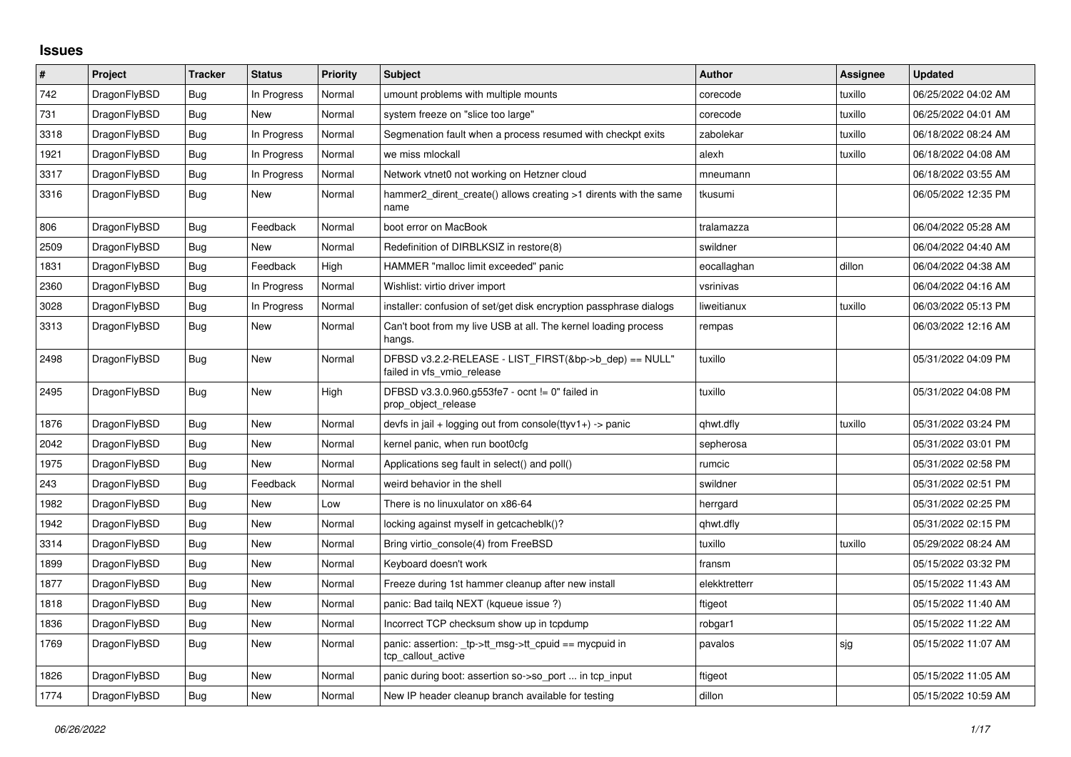## **Issues**

| $\sharp$ | Project      | <b>Tracker</b> | <b>Status</b> | Priority | <b>Subject</b>                                                                       | <b>Author</b> | Assignee | <b>Updated</b>      |
|----------|--------------|----------------|---------------|----------|--------------------------------------------------------------------------------------|---------------|----------|---------------------|
| 742      | DragonFlyBSD | <b>Bug</b>     | In Progress   | Normal   | umount problems with multiple mounts                                                 | corecode      | tuxillo  | 06/25/2022 04:02 AM |
| 731      | DragonFlyBSD | Bug            | <b>New</b>    | Normal   | system freeze on "slice too large"                                                   | corecode      | tuxillo  | 06/25/2022 04:01 AM |
| 3318     | DragonFlyBSD | Bug            | In Progress   | Normal   | Segmenation fault when a process resumed with checkpt exits                          | zabolekar     | tuxillo  | 06/18/2022 08:24 AM |
| 1921     | DragonFlyBSD | <b>Bug</b>     | In Progress   | Normal   | we miss mlockall                                                                     | alexh         | tuxillo  | 06/18/2022 04:08 AM |
| 3317     | DragonFlyBSD | Bug            | In Progress   | Normal   | Network vtnet0 not working on Hetzner cloud                                          | mneumann      |          | 06/18/2022 03:55 AM |
| 3316     | DragonFlyBSD | <b>Bug</b>     | New           | Normal   | hammer2_dirent_create() allows creating >1 dirents with the same<br>name             | tkusumi       |          | 06/05/2022 12:35 PM |
| 806      | DragonFlyBSD | <b>Bug</b>     | Feedback      | Normal   | boot error on MacBook                                                                | tralamazza    |          | 06/04/2022 05:28 AM |
| 2509     | DragonFlyBSD | Bug            | <b>New</b>    | Normal   | Redefinition of DIRBLKSIZ in restore(8)                                              | swildner      |          | 06/04/2022 04:40 AM |
| 1831     | DragonFlyBSD | <b>Bug</b>     | Feedback      | High     | HAMMER "malloc limit exceeded" panic                                                 | eocallaghan   | dillon   | 06/04/2022 04:38 AM |
| 2360     | DragonFlyBSD | Bug            | In Progress   | Normal   | Wishlist: virtio driver import                                                       | vsrinivas     |          | 06/04/2022 04:16 AM |
| 3028     | DragonFlyBSD | Bug            | In Progress   | Normal   | installer: confusion of set/get disk encryption passphrase dialogs                   | liweitianux   | tuxillo  | 06/03/2022 05:13 PM |
| 3313     | DragonFlyBSD | Bug            | New           | Normal   | Can't boot from my live USB at all. The kernel loading process<br>hangs.             | rempas        |          | 06/03/2022 12:16 AM |
| 2498     | DragonFlyBSD | Bug            | New           | Normal   | DFBSD v3.2.2-RELEASE - LIST FIRST(&bp->b dep) == NULL"<br>failed in vfs vmio release | tuxillo       |          | 05/31/2022 04:09 PM |
| 2495     | DragonFlyBSD | <b>Bug</b>     | New           | High     | DFBSD v3.3.0.960.g553fe7 - ocnt != 0" failed in<br>prop_object_release               | tuxillo       |          | 05/31/2022 04:08 PM |
| 1876     | DragonFlyBSD | Bug            | New           | Normal   | devfs in jail + logging out from console(ttyv1+) -> panic                            | qhwt.dfly     | tuxillo  | 05/31/2022 03:24 PM |
| 2042     | DragonFlyBSD | Bug            | New           | Normal   | kernel panic, when run boot0cfg                                                      | sepherosa     |          | 05/31/2022 03:01 PM |
| 1975     | DragonFlyBSD | Bug            | New           | Normal   | Applications seg fault in select() and poll()                                        | rumcic        |          | 05/31/2022 02:58 PM |
| 243      | DragonFlyBSD | Bug            | Feedback      | Normal   | weird behavior in the shell                                                          | swildner      |          | 05/31/2022 02:51 PM |
| 1982     | DragonFlyBSD | <b>Bug</b>     | New           | Low      | There is no linuxulator on x86-64                                                    | herrgard      |          | 05/31/2022 02:25 PM |
| 1942     | DragonFlyBSD | Bug            | New           | Normal   | locking against myself in getcacheblk()?                                             | qhwt.dfly     |          | 05/31/2022 02:15 PM |
| 3314     | DragonFlyBSD | Bug            | New           | Normal   | Bring virtio console(4) from FreeBSD                                                 | tuxillo       | tuxillo  | 05/29/2022 08:24 AM |
| 1899     | DragonFlyBSD | Bug            | New           | Normal   | Keyboard doesn't work                                                                | fransm        |          | 05/15/2022 03:32 PM |
| 1877     | DragonFlyBSD | Bug            | New           | Normal   | Freeze during 1st hammer cleanup after new install                                   | elekktretterr |          | 05/15/2022 11:43 AM |
| 1818     | DragonFlyBSD | Bug            | New           | Normal   | panic: Bad tailg NEXT (kqueue issue ?)                                               | ftigeot       |          | 05/15/2022 11:40 AM |
| 1836     | DragonFlyBSD | <b>Bug</b>     | New           | Normal   | Incorrect TCP checksum show up in tcpdump                                            | robgar1       |          | 05/15/2022 11:22 AM |
| 1769     | DragonFlyBSD | Bug            | New           | Normal   | panic: assertion: _tp->tt_msg->tt_cpuid == mycpuid in<br>tcp_callout_active          | pavalos       | sjg      | 05/15/2022 11:07 AM |
| 1826     | DragonFlyBSD | Bug            | New           | Normal   | panic during boot: assertion so->so port  in tcp input                               | ftigeot       |          | 05/15/2022 11:05 AM |
| 1774     | DragonFlyBSD | <b>Bug</b>     | New           | Normal   | New IP header cleanup branch available for testing                                   | dillon        |          | 05/15/2022 10:59 AM |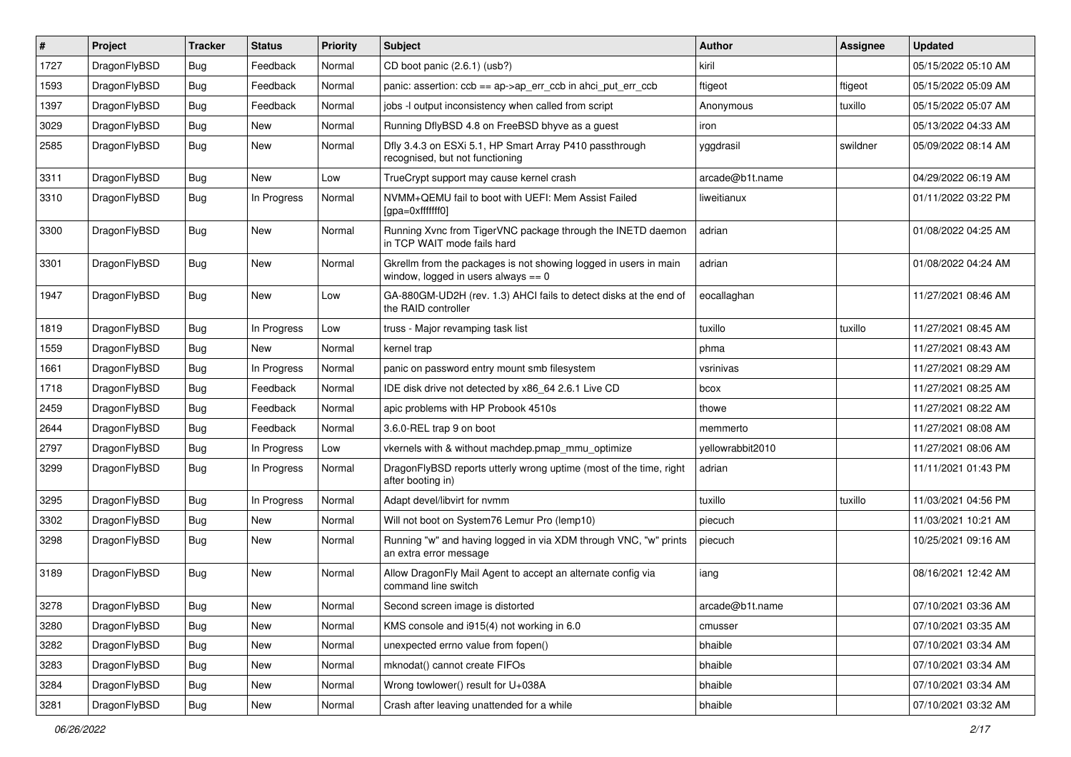| $\vert$ # | Project      | <b>Tracker</b> | <b>Status</b> | <b>Priority</b> | Subject                                                                                                   | Author           | Assignee | <b>Updated</b>      |
|-----------|--------------|----------------|---------------|-----------------|-----------------------------------------------------------------------------------------------------------|------------------|----------|---------------------|
| 1727      | DragonFlyBSD | <b>Bug</b>     | Feedback      | Normal          | CD boot panic (2.6.1) (usb?)                                                                              | kiril            |          | 05/15/2022 05:10 AM |
| 1593      | DragonFlyBSD | <b>Bug</b>     | Feedback      | Normal          | panic: assertion: $ccb == ap > ap$ err $ccb$ in ahci put err $ccb$                                        | ftigeot          | ftigeot  | 05/15/2022 05:09 AM |
| 1397      | DragonFlyBSD | <b>Bug</b>     | Feedback      | Normal          | jobs -I output inconsistency when called from script                                                      | Anonymous        | tuxillo  | 05/15/2022 05:07 AM |
| 3029      | DragonFlyBSD | <b>Bug</b>     | New           | Normal          | Running DflyBSD 4.8 on FreeBSD bhyve as a guest                                                           | iron             |          | 05/13/2022 04:33 AM |
| 2585      | DragonFlyBSD | <b>Bug</b>     | New           | Normal          | Dfly 3.4.3 on ESXi 5.1, HP Smart Array P410 passthrough<br>recognised, but not functioning                | yggdrasil        | swildner | 05/09/2022 08:14 AM |
| 3311      | DragonFlyBSD | <b>Bug</b>     | <b>New</b>    | Low             | TrueCrypt support may cause kernel crash                                                                  | arcade@b1t.name  |          | 04/29/2022 06:19 AM |
| 3310      | DragonFlyBSD | Bug            | In Progress   | Normal          | NVMM+QEMU fail to boot with UEFI: Mem Assist Failed<br>[gpa=0xfffffff0]                                   | liweitianux      |          | 01/11/2022 03:22 PM |
| 3300      | DragonFlyBSD | Bug            | <b>New</b>    | Normal          | Running Xvnc from TigerVNC package through the INETD daemon<br>in TCP WAIT mode fails hard                | adrian           |          | 01/08/2022 04:25 AM |
| 3301      | DragonFlyBSD | Bug            | New           | Normal          | Gkrellm from the packages is not showing logged in users in main<br>window, logged in users always $== 0$ | adrian           |          | 01/08/2022 04:24 AM |
| 1947      | DragonFlyBSD | Bug            | New           | Low             | GA-880GM-UD2H (rev. 1.3) AHCI fails to detect disks at the end of<br>the RAID controller                  | eocallaghan      |          | 11/27/2021 08:46 AM |
| 1819      | DragonFlyBSD | Bug            | In Progress   | Low             | truss - Major revamping task list                                                                         | tuxillo          | tuxillo  | 11/27/2021 08:45 AM |
| 1559      | DragonFlyBSD | <b>Bug</b>     | New           | Normal          | kernel trap                                                                                               | phma             |          | 11/27/2021 08:43 AM |
| 1661      | DragonFlyBSD | <b>Bug</b>     | In Progress   | Normal          | panic on password entry mount smb filesystem                                                              | vsrinivas        |          | 11/27/2021 08:29 AM |
| 1718      | DragonFlyBSD | <b>Bug</b>     | Feedback      | Normal          | IDE disk drive not detected by x86 64 2.6.1 Live CD                                                       | bcox             |          | 11/27/2021 08:25 AM |
| 2459      | DragonFlyBSD | <b>Bug</b>     | Feedback      | Normal          | apic problems with HP Probook 4510s                                                                       | thowe            |          | 11/27/2021 08:22 AM |
| 2644      | DragonFlyBSD | Bug            | Feedback      | Normal          | 3.6.0-REL trap 9 on boot                                                                                  | memmerto         |          | 11/27/2021 08:08 AM |
| 2797      | DragonFlyBSD | Bug            | In Progress   | Low             | vkernels with & without machdep.pmap mmu optimize                                                         | yellowrabbit2010 |          | 11/27/2021 08:06 AM |
| 3299      | DragonFlyBSD | Bug            | In Progress   | Normal          | DragonFlyBSD reports utterly wrong uptime (most of the time, right<br>after booting in)                   | adrian           |          | 11/11/2021 01:43 PM |
| 3295      | DragonFlyBSD | Bug            | In Progress   | Normal          | Adapt devel/libvirt for nvmm                                                                              | tuxillo          | tuxillo  | 11/03/2021 04:56 PM |
| 3302      | DragonFlyBSD | Bug            | New           | Normal          | Will not boot on System76 Lemur Pro (lemp10)                                                              | piecuch          |          | 11/03/2021 10:21 AM |
| 3298      | DragonFlyBSD | Bug            | <b>New</b>    | Normal          | Running "w" and having logged in via XDM through VNC, "w" prints<br>an extra error message                | piecuch          |          | 10/25/2021 09:16 AM |
| 3189      | DragonFlyBSD | <b>Bug</b>     | New           | Normal          | Allow DragonFly Mail Agent to accept an alternate config via<br>command line switch                       | iang             |          | 08/16/2021 12:42 AM |
| 3278      | DragonFlyBSD | <b>Bug</b>     | New           | Normal          | Second screen image is distorted                                                                          | arcade@b1t.name  |          | 07/10/2021 03:36 AM |
| 3280      | DragonFlyBSD | Bug            | <b>New</b>    | Normal          | KMS console and i915(4) not working in 6.0                                                                | cmusser          |          | 07/10/2021 03:35 AM |
| 3282      | DragonFlyBSD | <b>Bug</b>     | New           | Normal          | unexpected errno value from fopen()                                                                       | bhaible          |          | 07/10/2021 03:34 AM |
| 3283      | DragonFlyBSD | <b>Bug</b>     | New           | Normal          | mknodat() cannot create FIFOs                                                                             | bhaible          |          | 07/10/2021 03:34 AM |
| 3284      | DragonFlyBSD | <b>Bug</b>     | New           | Normal          | Wrong towlower() result for U+038A                                                                        | bhaible          |          | 07/10/2021 03:34 AM |
| 3281      | DragonFlyBSD | <b>Bug</b>     | New           | Normal          | Crash after leaving unattended for a while                                                                | bhaible          |          | 07/10/2021 03:32 AM |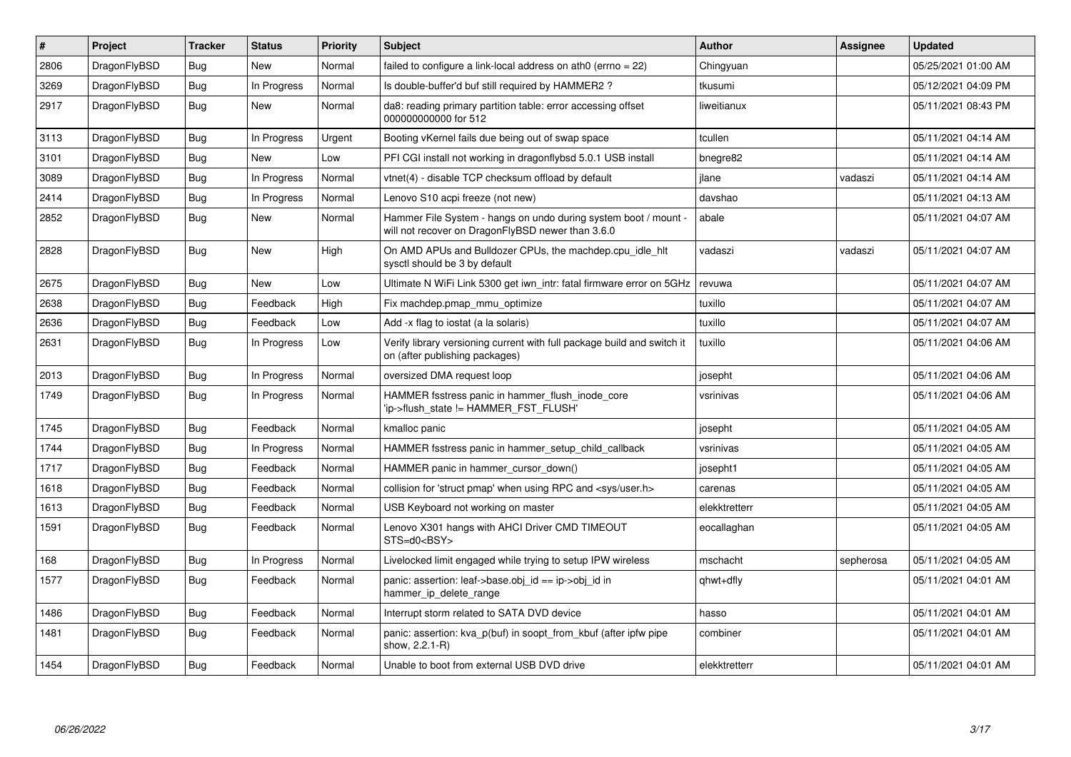| ∦    | <b>Project</b> | <b>Tracker</b> | <b>Status</b> | <b>Priority</b> | <b>Subject</b>                                                                                                       | <b>Author</b> | <b>Assignee</b> | <b>Updated</b>      |
|------|----------------|----------------|---------------|-----------------|----------------------------------------------------------------------------------------------------------------------|---------------|-----------------|---------------------|
| 2806 | DragonFlyBSD   | Bug            | <b>New</b>    | Normal          | failed to configure a link-local address on ath0 (errno = 22)                                                        | Chingyuan     |                 | 05/25/2021 01:00 AM |
| 3269 | DragonFlyBSD   | Bug            | In Progress   | Normal          | Is double-buffer'd buf still required by HAMMER2?                                                                    | tkusumi       |                 | 05/12/2021 04:09 PM |
| 2917 | DragonFlyBSD   | <b>Bug</b>     | New           | Normal          | da8: reading primary partition table: error accessing offset<br>000000000000 for 512                                 | liweitianux   |                 | 05/11/2021 08:43 PM |
| 3113 | DragonFlyBSD   | Bug            | In Progress   | Urgent          | Booting vKernel fails due being out of swap space                                                                    | tcullen       |                 | 05/11/2021 04:14 AM |
| 3101 | DragonFlyBSD   | <b>Bug</b>     | New           | Low             | PFI CGI install not working in dragonflybsd 5.0.1 USB install                                                        | bnegre82      |                 | 05/11/2021 04:14 AM |
| 3089 | DragonFlyBSD   | Bug            | In Progress   | Normal          | vtnet(4) - disable TCP checksum offload by default                                                                   | ilane         | vadaszi         | 05/11/2021 04:14 AM |
| 2414 | DragonFlyBSD   | Bug            | In Progress   | Normal          | Lenovo S10 acpi freeze (not new)                                                                                     | davshao       |                 | 05/11/2021 04:13 AM |
| 2852 | DragonFlyBSD   | <b>Bug</b>     | <b>New</b>    | Normal          | Hammer File System - hangs on undo during system boot / mount -<br>will not recover on DragonFlyBSD newer than 3.6.0 | abale         |                 | 05/11/2021 04:07 AM |
| 2828 | DragonFlyBSD   | <b>Bug</b>     | <b>New</b>    | High            | On AMD APUs and Bulldozer CPUs, the machdep.cpu_idle_hlt<br>sysctl should be 3 by default                            | vadaszi       | vadaszi         | 05/11/2021 04:07 AM |
| 2675 | DragonFlyBSD   | Bug            | <b>New</b>    | Low             | Ultimate N WiFi Link 5300 get iwn_intr: fatal firmware error on 5GHz                                                 | revuwa        |                 | 05/11/2021 04:07 AM |
| 2638 | DragonFlyBSD   | <b>Bug</b>     | Feedback      | High            | Fix machdep.pmap_mmu_optimize                                                                                        | tuxillo       |                 | 05/11/2021 04:07 AM |
| 2636 | DragonFlyBSD   | <b>Bug</b>     | Feedback      | Low             | Add -x flag to iostat (a la solaris)                                                                                 | tuxillo       |                 | 05/11/2021 04:07 AM |
| 2631 | DragonFlyBSD   | <b>Bug</b>     | In Progress   | Low             | Verify library versioning current with full package build and switch it<br>on (after publishing packages)            | tuxillo       |                 | 05/11/2021 04:06 AM |
| 2013 | DragonFlyBSD   | Bug            | In Progress   | Normal          | oversized DMA request loop                                                                                           | josepht       |                 | 05/11/2021 04:06 AM |
| 1749 | DragonFlyBSD   | <b>Bug</b>     | In Progress   | Normal          | HAMMER fsstress panic in hammer flush inode core<br>'ip->flush state != HAMMER FST FLUSH'                            | vsrinivas     |                 | 05/11/2021 04:06 AM |
| 1745 | DragonFlyBSD   | <b>Bug</b>     | Feedback      | Normal          | kmalloc panic                                                                                                        | josepht       |                 | 05/11/2021 04:05 AM |
| 1744 | DragonFlyBSD   | Bug            | In Progress   | Normal          | HAMMER fsstress panic in hammer setup child callback                                                                 | vsrinivas     |                 | 05/11/2021 04:05 AM |
| 1717 | DragonFlyBSD   | <b>Bug</b>     | Feedback      | Normal          | HAMMER panic in hammer cursor down()                                                                                 | josepht1      |                 | 05/11/2021 04:05 AM |
| 1618 | DragonFlyBSD   | <b>Bug</b>     | Feedback      | Normal          | collision for 'struct pmap' when using RPC and <sys user.h=""></sys>                                                 | carenas       |                 | 05/11/2021 04:05 AM |
| 1613 | DragonFlyBSD   | <b>Bug</b>     | Feedback      | Normal          | USB Keyboard not working on master                                                                                   | elekktretterr |                 | 05/11/2021 04:05 AM |
| 1591 | DragonFlyBSD   | Bug            | Feedback      | Normal          | Lenovo X301 hangs with AHCI Driver CMD TIMEOUT<br>STS=d0 <bsy></bsy>                                                 | eocallaghan   |                 | 05/11/2021 04:05 AM |
| 168  | DragonFlyBSD   | <b>Bug</b>     | In Progress   | Normal          | Livelocked limit engaged while trying to setup IPW wireless                                                          | mschacht      | sepherosa       | 05/11/2021 04:05 AM |
| 1577 | DragonFlyBSD   | Bug            | Feedback      | Normal          | panic: assertion: leaf->base.obj id == ip->obj id in<br>hammer_ip_delete_range                                       | qhwt+dfly     |                 | 05/11/2021 04:01 AM |
| 1486 | DragonFlyBSD   | <b>Bug</b>     | Feedback      | Normal          | Interrupt storm related to SATA DVD device                                                                           | hasso         |                 | 05/11/2021 04:01 AM |
| 1481 | DragonFlyBSD   | <b>Bug</b>     | Feedback      | Normal          | panic: assertion: kva p(buf) in soopt from kbuf (after ipfw pipe<br>show, 2.2.1-R)                                   | combiner      |                 | 05/11/2021 04:01 AM |
| 1454 | DragonFlyBSD   | Bug            | Feedback      | Normal          | Unable to boot from external USB DVD drive                                                                           | elekktretterr |                 | 05/11/2021 04:01 AM |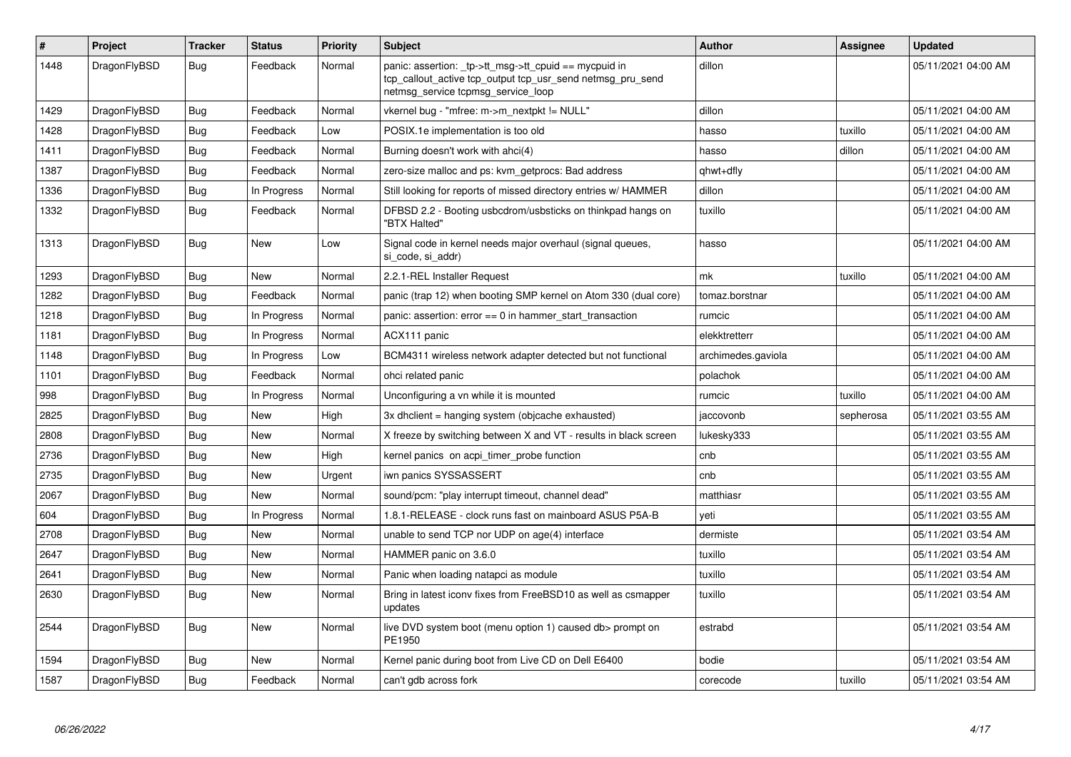| #    | Project      | Tracker    | <b>Status</b> | <b>Priority</b> | <b>Subject</b>                                                                                                                                            | <b>Author</b>      | Assignee  | <b>Updated</b>      |
|------|--------------|------------|---------------|-----------------|-----------------------------------------------------------------------------------------------------------------------------------------------------------|--------------------|-----------|---------------------|
| 1448 | DragonFlyBSD | <b>Bug</b> | Feedback      | Normal          | panic: assertion: _tp->tt_msg->tt_cpuid == mycpuid in<br>tcp_callout_active tcp_output tcp_usr_send netmsg_pru_send<br>netmsg service tcpmsg service loop | dillon             |           | 05/11/2021 04:00 AM |
| 1429 | DragonFlyBSD | <b>Bug</b> | Feedback      | Normal          | vkernel bug - "mfree: m->m_nextpkt != NULL"                                                                                                               | dillon             |           | 05/11/2021 04:00 AM |
| 1428 | DragonFlyBSD | Bug        | Feedback      | Low             | POSIX.1e implementation is too old                                                                                                                        | hasso              | tuxillo   | 05/11/2021 04:00 AM |
| 1411 | DragonFlyBSD | Bug        | Feedback      | Normal          | Burning doesn't work with ahci(4)                                                                                                                         | hasso              | dillon    | 05/11/2021 04:00 AM |
| 1387 | DragonFlyBSD | Bug        | Feedback      | Normal          | zero-size malloc and ps: kvm getprocs: Bad address                                                                                                        | qhwt+dfly          |           | 05/11/2021 04:00 AM |
| 1336 | DragonFlyBSD | <b>Bug</b> | In Progress   | Normal          | Still looking for reports of missed directory entries w/ HAMMER                                                                                           | dillon             |           | 05/11/2021 04:00 AM |
| 1332 | DragonFlyBSD | Bug        | Feedback      | Normal          | DFBSD 2.2 - Booting usbcdrom/usbsticks on thinkpad hangs on<br>"BTX Halted"                                                                               | tuxillo            |           | 05/11/2021 04:00 AM |
| 1313 | DragonFlyBSD | Bug        | <b>New</b>    | Low             | Signal code in kernel needs major overhaul (signal queues,<br>si code, si addr)                                                                           | hasso              |           | 05/11/2021 04:00 AM |
| 1293 | DragonFlyBSD | Bug        | New           | Normal          | 2.2.1-REL Installer Request                                                                                                                               | mk                 | tuxillo   | 05/11/2021 04:00 AM |
| 1282 | DragonFlyBSD | <b>Bug</b> | Feedback      | Normal          | panic (trap 12) when booting SMP kernel on Atom 330 (dual core)                                                                                           | tomaz.borstnar     |           | 05/11/2021 04:00 AM |
| 1218 | DragonFlyBSD | Bug        | In Progress   | Normal          | panic: assertion: $error == 0$ in hammer start transaction                                                                                                | rumcic             |           | 05/11/2021 04:00 AM |
| 1181 | DragonFlyBSD | Bug        | In Progress   | Normal          | ACX111 panic                                                                                                                                              | elekktretterr      |           | 05/11/2021 04:00 AM |
| 1148 | DragonFlyBSD | <b>Bug</b> | In Progress   | Low             | BCM4311 wireless network adapter detected but not functional                                                                                              | archimedes.gaviola |           | 05/11/2021 04:00 AM |
| 1101 | DragonFlyBSD | <b>Bug</b> | Feedback      | Normal          | ohci related panic                                                                                                                                        | polachok           |           | 05/11/2021 04:00 AM |
| 998  | DragonFlyBSD | <b>Bug</b> | In Progress   | Normal          | Unconfiguring a vn while it is mounted                                                                                                                    | rumcic             | tuxillo   | 05/11/2021 04:00 AM |
| 2825 | DragonFlyBSD | <b>Bug</b> | <b>New</b>    | High            | 3x dhclient = hanging system (objcache exhausted)                                                                                                         | jaccovonb          | sepherosa | 05/11/2021 03:55 AM |
| 2808 | DragonFlyBSD | <b>Bug</b> | <b>New</b>    | Normal          | X freeze by switching between X and VT - results in black screen                                                                                          | lukesky333         |           | 05/11/2021 03:55 AM |
| 2736 | DragonFlyBSD | <b>Bug</b> | New           | High            | kernel panics on acpi timer probe function                                                                                                                | cnb                |           | 05/11/2021 03:55 AM |
| 2735 | DragonFlyBSD | Bug        | New           | Urgent          | iwn panics SYSSASSERT                                                                                                                                     | cnb                |           | 05/11/2021 03:55 AM |
| 2067 | DragonFlyBSD | Bug        | New           | Normal          | sound/pcm: "play interrupt timeout, channel dead"                                                                                                         | matthiasr          |           | 05/11/2021 03:55 AM |
| 604  | DragonFlyBSD | <b>Bug</b> | In Progress   | Normal          | 1.8.1-RELEASE - clock runs fast on mainboard ASUS P5A-B                                                                                                   | veti               |           | 05/11/2021 03:55 AM |
| 2708 | DragonFlyBSD | Bug        | <b>New</b>    | Normal          | unable to send TCP nor UDP on age(4) interface                                                                                                            | dermiste           |           | 05/11/2021 03:54 AM |
| 2647 | DragonFlyBSD | Bug        | <b>New</b>    | Normal          | HAMMER panic on 3.6.0                                                                                                                                     | tuxillo            |           | 05/11/2021 03:54 AM |
| 2641 | DragonFlyBSD | <b>Bug</b> | <b>New</b>    | Normal          | Panic when loading natapci as module                                                                                                                      | tuxillo            |           | 05/11/2021 03:54 AM |
| 2630 | DragonFlyBSD | Bug        | <b>New</b>    | Normal          | Bring in latest iconv fixes from FreeBSD10 as well as csmapper<br>updates                                                                                 | tuxillo            |           | 05/11/2021 03:54 AM |
| 2544 | DragonFlyBSD | <b>Bug</b> | New           | Normal          | live DVD system boot (menu option 1) caused db> prompt on<br>PE1950                                                                                       | estrabd            |           | 05/11/2021 03:54 AM |
| 1594 | DragonFlyBSD | Bug        | New           | Normal          | Kernel panic during boot from Live CD on Dell E6400                                                                                                       | bodie              |           | 05/11/2021 03:54 AM |
| 1587 | DragonFlyBSD | <b>Bug</b> | Feedback      | Normal          | can't gdb across fork                                                                                                                                     | corecode           | tuxillo   | 05/11/2021 03:54 AM |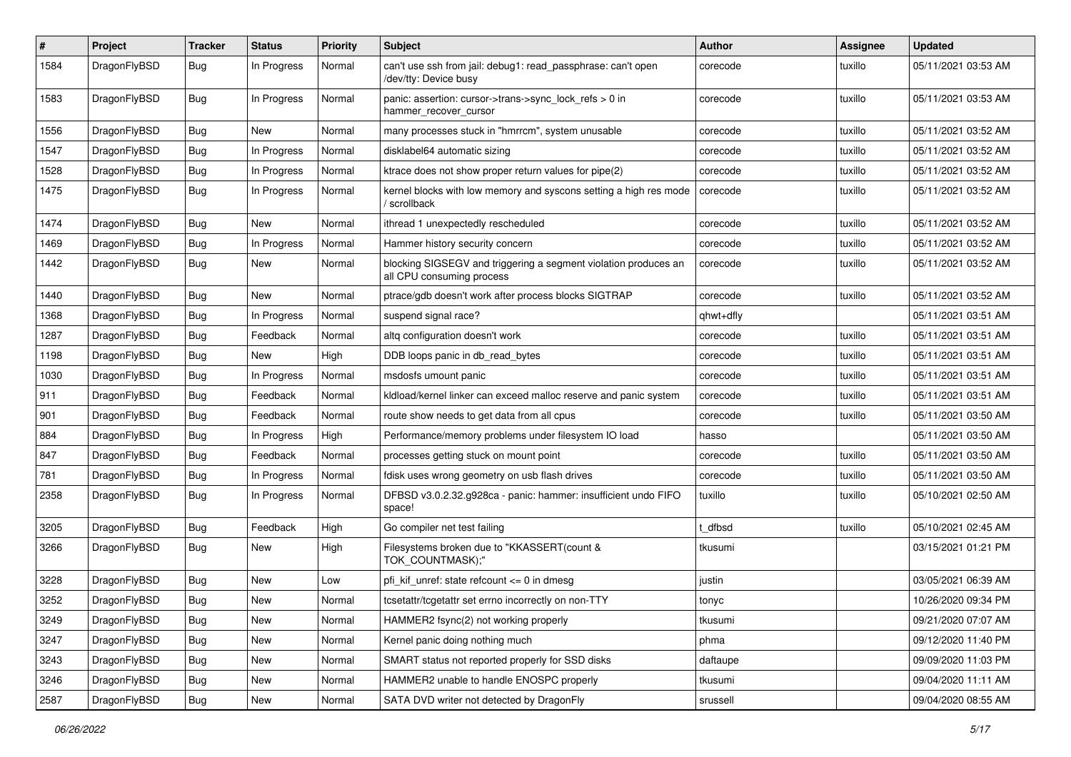| $\sharp$ | Project      | <b>Tracker</b> | <b>Status</b> | <b>Priority</b> | <b>Subject</b>                                                                               | <b>Author</b> | Assignee | <b>Updated</b>      |
|----------|--------------|----------------|---------------|-----------------|----------------------------------------------------------------------------------------------|---------------|----------|---------------------|
| 1584     | DragonFlyBSD | Bug            | In Progress   | Normal          | can't use ssh from jail: debug1: read_passphrase: can't open<br>/dev/tty: Device busy        | corecode      | tuxillo  | 05/11/2021 03:53 AM |
| 1583     | DragonFlyBSD | Bug            | In Progress   | Normal          | panic: assertion: cursor->trans->sync_lock_refs > 0 in<br>hammer_recover_cursor              | corecode      | tuxillo  | 05/11/2021 03:53 AM |
| 1556     | DragonFlyBSD | Bug            | <b>New</b>    | Normal          | many processes stuck in "hmrrcm", system unusable                                            | corecode      | tuxillo  | 05/11/2021 03:52 AM |
| 1547     | DragonFlyBSD | <b>Bug</b>     | In Progress   | Normal          | disklabel64 automatic sizing                                                                 | corecode      | tuxillo  | 05/11/2021 03:52 AM |
| 1528     | DragonFlyBSD | <b>Bug</b>     | In Progress   | Normal          | ktrace does not show proper return values for pipe(2)                                        | corecode      | tuxillo  | 05/11/2021 03:52 AM |
| 1475     | DragonFlyBSD | <b>Bug</b>     | In Progress   | Normal          | kernel blocks with low memory and syscons setting a high res mode<br>scrollback              | corecode      | tuxillo  | 05/11/2021 03:52 AM |
| 1474     | DragonFlyBSD | Bug            | New           | Normal          | ithread 1 unexpectedly rescheduled                                                           | corecode      | tuxillo  | 05/11/2021 03:52 AM |
| 1469     | DragonFlyBSD | <b>Bug</b>     | In Progress   | Normal          | Hammer history security concern                                                              | corecode      | tuxillo  | 05/11/2021 03:52 AM |
| 1442     | DragonFlyBSD | Bug            | <b>New</b>    | Normal          | blocking SIGSEGV and triggering a segment violation produces an<br>all CPU consuming process | corecode      | tuxillo  | 05/11/2021 03:52 AM |
| 1440     | DragonFlyBSD | Bug            | New           | Normal          | ptrace/gdb doesn't work after process blocks SIGTRAP                                         | corecode      | tuxillo  | 05/11/2021 03:52 AM |
| 1368     | DragonFlyBSD | <b>Bug</b>     | In Progress   | Normal          | suspend signal race?                                                                         | qhwt+dfly     |          | 05/11/2021 03:51 AM |
| 1287     | DragonFlyBSD | Bug            | Feedback      | Normal          | altg configuration doesn't work                                                              | corecode      | tuxillo  | 05/11/2021 03:51 AM |
| 1198     | DragonFlyBSD | <b>Bug</b>     | New           | High            | DDB loops panic in db read bytes                                                             | corecode      | tuxillo  | 05/11/2021 03:51 AM |
| 1030     | DragonFlyBSD | Bug            | In Progress   | Normal          | msdosfs umount panic                                                                         | corecode      | tuxillo  | 05/11/2021 03:51 AM |
| 911      | DragonFlyBSD | <b>Bug</b>     | Feedback      | Normal          | kldload/kernel linker can exceed malloc reserve and panic system                             | corecode      | tuxillo  | 05/11/2021 03:51 AM |
| 901      | DragonFlyBSD | <b>Bug</b>     | Feedback      | Normal          | route show needs to get data from all cpus                                                   | corecode      | tuxillo  | 05/11/2021 03:50 AM |
| 884      | DragonFlyBSD | <b>Bug</b>     | In Progress   | High            | Performance/memory problems under filesystem IO load                                         | hasso         |          | 05/11/2021 03:50 AM |
| 847      | DragonFlyBSD | <b>Bug</b>     | Feedback      | Normal          | processes getting stuck on mount point                                                       | corecode      | tuxillo  | 05/11/2021 03:50 AM |
| 781      | DragonFlyBSD | Bug            | In Progress   | Normal          | fdisk uses wrong geometry on usb flash drives                                                | corecode      | tuxillo  | 05/11/2021 03:50 AM |
| 2358     | DragonFlyBSD | <b>Bug</b>     | In Progress   | Normal          | DFBSD v3.0.2.32.g928ca - panic: hammer: insufficient undo FIFO<br>space!                     | tuxillo       | tuxillo  | 05/10/2021 02:50 AM |
| 3205     | DragonFlyBSD | Bug            | Feedback      | High            | Go compiler net test failing                                                                 | : dfbsd       | tuxillo  | 05/10/2021 02:45 AM |
| 3266     | DragonFlyBSD | Bug            | <b>New</b>    | High            | Filesystems broken due to "KKASSERT(count &<br>TOK_COUNTMASK);"                              | tkusumi       |          | 03/15/2021 01:21 PM |
| 3228     | DragonFlyBSD | <b>Bug</b>     | New           | Low             | pfi kif unref: state refcount $\leq$ 0 in dmesg                                              | justin        |          | 03/05/2021 06:39 AM |
| 3252     | DragonFlyBSD | Bug            | <b>New</b>    | Normal          | tcsetattr/tcgetattr set errno incorrectly on non-TTY                                         | tonyc         |          | 10/26/2020 09:34 PM |
| 3249     | DragonFlyBSD | <b>Bug</b>     | New           | Normal          | HAMMER2 fsync(2) not working properly                                                        | tkusumi       |          | 09/21/2020 07:07 AM |
| 3247     | DragonFlyBSD | <b>Bug</b>     | New           | Normal          | Kernel panic doing nothing much                                                              | phma          |          | 09/12/2020 11:40 PM |
| 3243     | DragonFlyBSD | <b>Bug</b>     | New           | Normal          | SMART status not reported properly for SSD disks                                             | daftaupe      |          | 09/09/2020 11:03 PM |
| 3246     | DragonFlyBSD | <b>Bug</b>     | New           | Normal          | HAMMER2 unable to handle ENOSPC properly                                                     | tkusumi       |          | 09/04/2020 11:11 AM |
| 2587     | DragonFlyBSD | <b>Bug</b>     | New           | Normal          | SATA DVD writer not detected by DragonFly                                                    | srussell      |          | 09/04/2020 08:55 AM |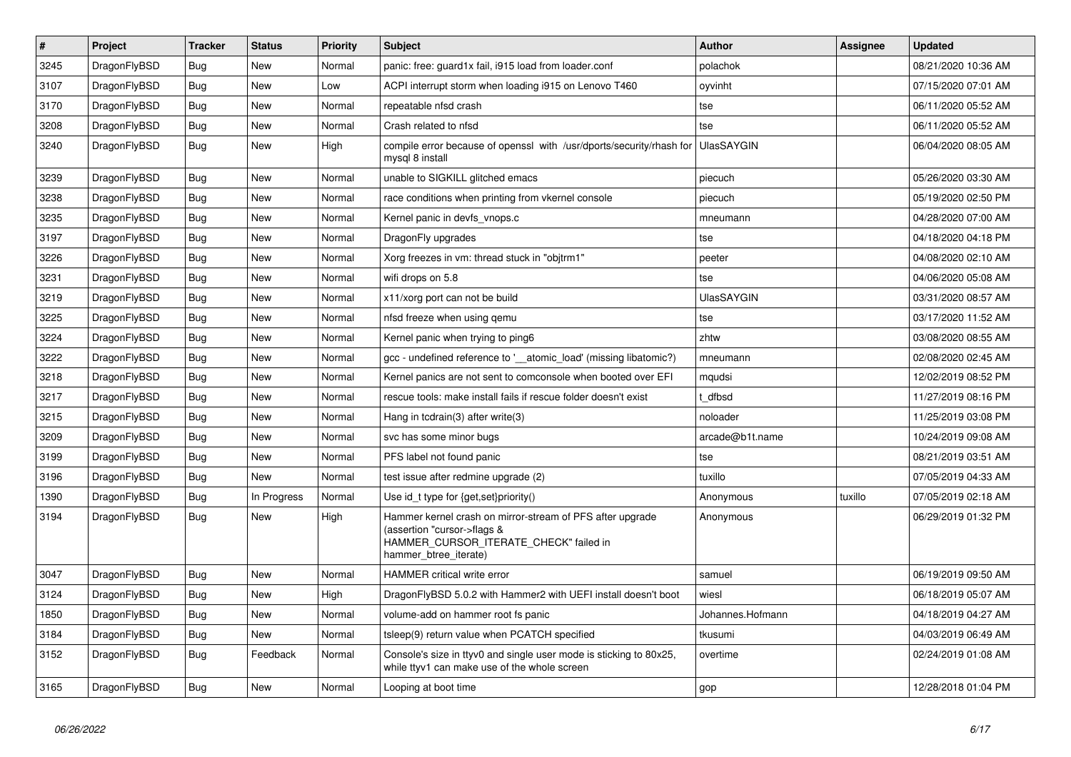| $\vert$ # | <b>Project</b> | <b>Tracker</b> | <b>Status</b> | <b>Priority</b> | <b>Subject</b>                                                                                                                                              | <b>Author</b>     | <b>Assignee</b> | <b>Updated</b>      |
|-----------|----------------|----------------|---------------|-----------------|-------------------------------------------------------------------------------------------------------------------------------------------------------------|-------------------|-----------------|---------------------|
| 3245      | DragonFlyBSD   | Bug            | <b>New</b>    | Normal          | panic: free: guard1x fail, i915 load from loader.conf                                                                                                       | polachok          |                 | 08/21/2020 10:36 AM |
| 3107      | DragonFlyBSD   | <b>Bug</b>     | <b>New</b>    | Low             | ACPI interrupt storm when loading i915 on Lenovo T460                                                                                                       | oyvinht           |                 | 07/15/2020 07:01 AM |
| 3170      | DragonFlyBSD   | <b>Bug</b>     | <b>New</b>    | Normal          | repeatable nfsd crash                                                                                                                                       | tse               |                 | 06/11/2020 05:52 AM |
| 3208      | DragonFlyBSD   | Bug            | <b>New</b>    | Normal          | Crash related to nfsd                                                                                                                                       | tse               |                 | 06/11/2020 05:52 AM |
| 3240      | DragonFlyBSD   | <b>Bug</b>     | <b>New</b>    | High            | compile error because of openssl with /usr/dports/security/rhash for<br>mysql 8 install                                                                     | <b>UlasSAYGIN</b> |                 | 06/04/2020 08:05 AM |
| 3239      | DragonFlyBSD   | Bug            | <b>New</b>    | Normal          | unable to SIGKILL glitched emacs                                                                                                                            | piecuch           |                 | 05/26/2020 03:30 AM |
| 3238      | DragonFlyBSD   | Bug            | <b>New</b>    | Normal          | race conditions when printing from vkernel console                                                                                                          | piecuch           |                 | 05/19/2020 02:50 PM |
| 3235      | DragonFlyBSD   | <b>Bug</b>     | <b>New</b>    | Normal          | Kernel panic in devfs vnops.c                                                                                                                               | mneumann          |                 | 04/28/2020 07:00 AM |
| 3197      | DragonFlyBSD   | <b>Bug</b>     | New           | Normal          | DragonFly upgrades                                                                                                                                          | tse               |                 | 04/18/2020 04:18 PM |
| 3226      | DragonFlyBSD   | Bug            | <b>New</b>    | Normal          | Xorg freezes in vm: thread stuck in "objtrm1"                                                                                                               | peeter            |                 | 04/08/2020 02:10 AM |
| 3231      | DragonFlyBSD   | Bug            | New           | Normal          | wifi drops on 5.8                                                                                                                                           | tse               |                 | 04/06/2020 05:08 AM |
| 3219      | DragonFlyBSD   | <b>Bug</b>     | New           | Normal          | x11/xorg port can not be build                                                                                                                              | <b>UlasSAYGIN</b> |                 | 03/31/2020 08:57 AM |
| 3225      | DragonFlyBSD   | <b>Bug</b>     | <b>New</b>    | Normal          | nfsd freeze when using gemu                                                                                                                                 | tse               |                 | 03/17/2020 11:52 AM |
| 3224      | DragonFlyBSD   | Bug            | <b>New</b>    | Normal          | Kernel panic when trying to ping6                                                                                                                           | zhtw              |                 | 03/08/2020 08:55 AM |
| 3222      | DragonFlyBSD   | Bug            | <b>New</b>    | Normal          | gcc - undefined reference to '__atomic_load' (missing libatomic?)                                                                                           | mneumann          |                 | 02/08/2020 02:45 AM |
| 3218      | DragonFlyBSD   | <b>Bug</b>     | <b>New</b>    | Normal          | Kernel panics are not sent to comconsole when booted over EFI                                                                                               | mqudsi            |                 | 12/02/2019 08:52 PM |
| 3217      | DragonFlyBSD   | <b>Bug</b>     | <b>New</b>    | Normal          | rescue tools: make install fails if rescue folder doesn't exist                                                                                             | dfbsd             |                 | 11/27/2019 08:16 PM |
| 3215      | DragonFlyBSD   | Bug            | <b>New</b>    | Normal          | Hang in tcdrain(3) after write(3)                                                                                                                           | noloader          |                 | 11/25/2019 03:08 PM |
| 3209      | DragonFlyBSD   | Bug            | <b>New</b>    | Normal          | svc has some minor bugs                                                                                                                                     | arcade@b1t.name   |                 | 10/24/2019 09:08 AM |
| 3199      | DragonFlyBSD   | <b>Bug</b>     | <b>New</b>    | Normal          | PFS label not found panic                                                                                                                                   | tse               |                 | 08/21/2019 03:51 AM |
| 3196      | DragonFlyBSD   | <b>Bug</b>     | <b>New</b>    | Normal          | test issue after redmine upgrade (2)                                                                                                                        | tuxillo           |                 | 07/05/2019 04:33 AM |
| 1390      | DragonFlyBSD   | Bug            | In Progress   | Normal          | Use id_t type for {get, set}priority()                                                                                                                      | Anonymous         | tuxillo         | 07/05/2019 02:18 AM |
| 3194      | DragonFlyBSD   | <b>Bug</b>     | <b>New</b>    | High            | Hammer kernel crash on mirror-stream of PFS after upgrade<br>(assertion "cursor->flags &<br>HAMMER CURSOR ITERATE CHECK" failed in<br>hammer_btree_iterate) | Anonymous         |                 | 06/29/2019 01:32 PM |
| 3047      | DragonFlyBSD   | <b>Bug</b>     | <b>New</b>    | Normal          | <b>HAMMER</b> critical write error                                                                                                                          | samuel            |                 | 06/19/2019 09:50 AM |
| 3124      | DragonFlyBSD   | <b>Bug</b>     | <b>New</b>    | High            | DragonFlyBSD 5.0.2 with Hammer2 with UEFI install doesn't boot                                                                                              | wiesl             |                 | 06/18/2019 05:07 AM |
| 1850      | DragonFlyBSD   | Bug            | <b>New</b>    | Normal          | volume-add on hammer root fs panic                                                                                                                          | Johannes.Hofmann  |                 | 04/18/2019 04:27 AM |
| 3184      | DragonFlyBSD   | <b>Bug</b>     | <b>New</b>    | Normal          | tsleep(9) return value when PCATCH specified                                                                                                                | tkusumi           |                 | 04/03/2019 06:49 AM |
| 3152      | DragonFlyBSD   | <b>Bug</b>     | Feedback      | Normal          | Console's size in ttyv0 and single user mode is sticking to 80x25,<br>while ttyv1 can make use of the whole screen                                          | overtime          |                 | 02/24/2019 01:08 AM |
| 3165      | DragonFlyBSD   | Bug            | <b>New</b>    | Normal          | Looping at boot time                                                                                                                                        | gop               |                 | 12/28/2018 01:04 PM |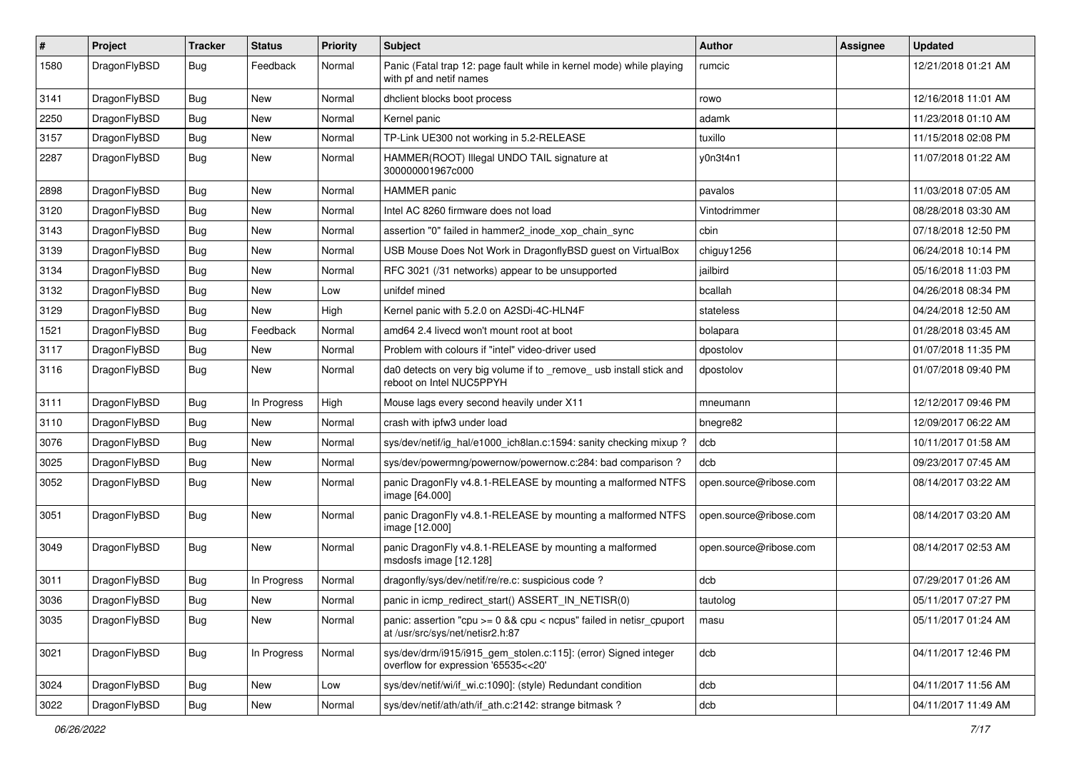| $\pmb{\#}$ | Project      | <b>Tracker</b> | <b>Status</b> | <b>Priority</b> | Subject                                                                                                   | Author                 | Assignee | <b>Updated</b>      |
|------------|--------------|----------------|---------------|-----------------|-----------------------------------------------------------------------------------------------------------|------------------------|----------|---------------------|
| 1580       | DragonFlyBSD | Bug            | Feedback      | Normal          | Panic (Fatal trap 12: page fault while in kernel mode) while playing<br>with pf and netif names           | rumcic                 |          | 12/21/2018 01:21 AM |
| 3141       | DragonFlyBSD | <b>Bug</b>     | <b>New</b>    | Normal          | dhclient blocks boot process                                                                              | rowo                   |          | 12/16/2018 11:01 AM |
| 2250       | DragonFlyBSD | Bug            | <b>New</b>    | Normal          | Kernel panic                                                                                              | adamk                  |          | 11/23/2018 01:10 AM |
| 3157       | DragonFlyBSD | Bug            | <b>New</b>    | Normal          | TP-Link UE300 not working in 5.2-RELEASE                                                                  | tuxillo                |          | 11/15/2018 02:08 PM |
| 2287       | DragonFlyBSD | Bug            | New           | Normal          | HAMMER(ROOT) Illegal UNDO TAIL signature at<br>300000001967c000                                           | y0n3t4n1               |          | 11/07/2018 01:22 AM |
| 2898       | DragonFlyBSD | <b>Bug</b>     | <b>New</b>    | Normal          | <b>HAMMER</b> panic                                                                                       | pavalos                |          | 11/03/2018 07:05 AM |
| 3120       | DragonFlyBSD | <b>Bug</b>     | <b>New</b>    | Normal          | Intel AC 8260 firmware does not load                                                                      | Vintodrimmer           |          | 08/28/2018 03:30 AM |
| 3143       | DragonFlyBSD | <b>Bug</b>     | New           | Normal          | assertion "0" failed in hammer2_inode_xop_chain_sync                                                      | cbin                   |          | 07/18/2018 12:50 PM |
| 3139       | DragonFlyBSD | <b>Bug</b>     | New           | Normal          | USB Mouse Does Not Work in DragonflyBSD guest on VirtualBox                                               | chiguy1256             |          | 06/24/2018 10:14 PM |
| 3134       | DragonFlyBSD | <b>Bug</b>     | <b>New</b>    | Normal          | RFC 3021 (/31 networks) appear to be unsupported                                                          | jailbird               |          | 05/16/2018 11:03 PM |
| 3132       | DragonFlyBSD | <b>Bug</b>     | <b>New</b>    | Low             | unifdef mined                                                                                             | bcallah                |          | 04/26/2018 08:34 PM |
| 3129       | DragonFlyBSD | <b>Bug</b>     | New           | High            | Kernel panic with 5.2.0 on A2SDi-4C-HLN4F                                                                 | stateless              |          | 04/24/2018 12:50 AM |
| 1521       | DragonFlyBSD | Bug            | Feedback      | Normal          | amd64 2.4 livecd won't mount root at boot                                                                 | bolapara               |          | 01/28/2018 03:45 AM |
| 3117       | DragonFlyBSD | <b>Bug</b>     | New           | Normal          | Problem with colours if "intel" video-driver used                                                         | dpostolov              |          | 01/07/2018 11:35 PM |
| 3116       | DragonFlyBSD | <b>Bug</b>     | New           | Normal          | da0 detects on very big volume if to _remove_ usb install stick and<br>reboot on Intel NUC5PPYH           | dpostolov              |          | 01/07/2018 09:40 PM |
| 3111       | DragonFlyBSD | <b>Bug</b>     | In Progress   | High            | Mouse lags every second heavily under X11                                                                 | mneumann               |          | 12/12/2017 09:46 PM |
| 3110       | DragonFlyBSD | Bug            | <b>New</b>    | Normal          | crash with ipfw3 under load                                                                               | bnegre82               |          | 12/09/2017 06:22 AM |
| 3076       | DragonFlyBSD | <b>Bug</b>     | New           | Normal          | sys/dev/netif/ig hal/e1000 ich8lan.c:1594: sanity checking mixup?                                         | dcb                    |          | 10/11/2017 01:58 AM |
| 3025       | DragonFlyBSD | <b>Bug</b>     | New           | Normal          | sys/dev/powermng/powernow/powernow.c:284: bad comparison?                                                 | dcb                    |          | 09/23/2017 07:45 AM |
| 3052       | DragonFlyBSD | Bug            | New           | Normal          | panic DragonFly v4.8.1-RELEASE by mounting a malformed NTFS<br>image [64.000]                             | open.source@ribose.com |          | 08/14/2017 03:22 AM |
| 3051       | DragonFlyBSD | <b>Bug</b>     | New           | Normal          | panic DragonFly v4.8.1-RELEASE by mounting a malformed NTFS<br>image [12.000]                             | open.source@ribose.com |          | 08/14/2017 03:20 AM |
| 3049       | DragonFlyBSD | Bug            | <b>New</b>    | Normal          | panic DragonFly v4.8.1-RELEASE by mounting a malformed<br>msdosfs image [12.128]                          | open.source@ribose.com |          | 08/14/2017 02:53 AM |
| 3011       | DragonFlyBSD | <b>Bug</b>     | In Progress   | Normal          | dragonfly/sys/dev/netif/re/re.c: suspicious code ?                                                        | dcb                    |          | 07/29/2017 01:26 AM |
| 3036       | DragonFlyBSD | Bug            | New           | Normal          | panic in icmp_redirect_start() ASSERT_IN_NETISR(0)                                                        | tautolog               |          | 05/11/2017 07:27 PM |
| 3035       | DragonFlyBSD | <b>Bug</b>     | New           | Normal          | panic: assertion "cpu $>= 0$ && cpu < ncpus" failed in netisr cpuport<br>at /usr/src/sys/net/netisr2.h:87 | masu                   |          | 05/11/2017 01:24 AM |
| 3021       | DragonFlyBSD | <b>Bug</b>     | In Progress   | Normal          | sys/dev/drm/i915/i915_gem_stolen.c:115]: (error) Signed integer<br>overflow for expression '65535<<20'    | dcb                    |          | 04/11/2017 12:46 PM |
| 3024       | DragonFlyBSD | <b>Bug</b>     | <b>New</b>    | Low             | sys/dev/netif/wi/if_wi.c:1090]: (style) Redundant condition                                               | dcb                    |          | 04/11/2017 11:56 AM |
| 3022       | DragonFlyBSD | Bug            | New           | Normal          | sys/dev/netif/ath/ath/if_ath.c:2142: strange bitmask?                                                     | dcb                    |          | 04/11/2017 11:49 AM |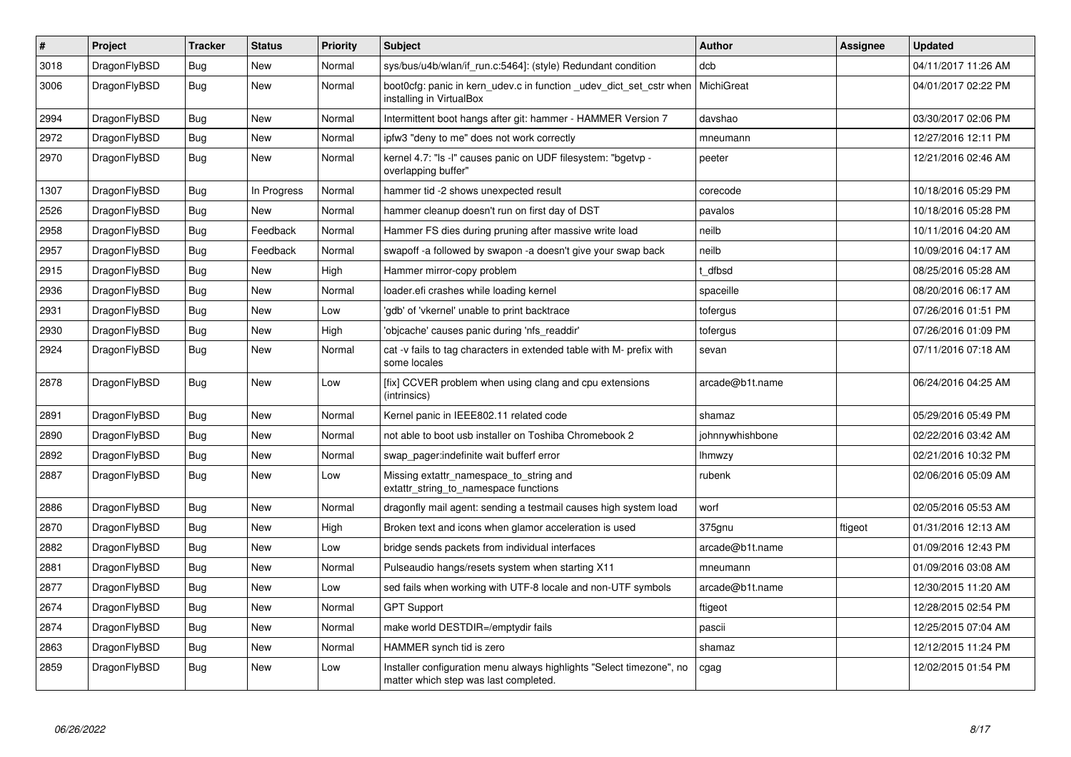| $\pmb{\#}$ | Project      | <b>Tracker</b> | <b>Status</b> | <b>Priority</b> | <b>Subject</b>                                                                                                | <b>Author</b>   | Assignee | Updated             |
|------------|--------------|----------------|---------------|-----------------|---------------------------------------------------------------------------------------------------------------|-----------------|----------|---------------------|
| 3018       | DragonFlyBSD | Bug            | <b>New</b>    | Normal          | sys/bus/u4b/wlan/if_run.c:5464]: (style) Redundant condition                                                  | dcb             |          | 04/11/2017 11:26 AM |
| 3006       | DragonFlyBSD | Bug            | New           | Normal          | boot Ocfg: panic in kern udev.c in function udev dict set cstr when<br>installing in VirtualBox               | MichiGreat      |          | 04/01/2017 02:22 PM |
| 2994       | DragonFlyBSD | Bug            | <b>New</b>    | Normal          | Intermittent boot hangs after git: hammer - HAMMER Version 7                                                  | davshao         |          | 03/30/2017 02:06 PM |
| 2972       | DragonFlyBSD | Bug            | <b>New</b>    | Normal          | ipfw3 "deny to me" does not work correctly                                                                    | mneumann        |          | 12/27/2016 12:11 PM |
| 2970       | DragonFlyBSD | <b>Bug</b>     | <b>New</b>    | Normal          | kernel 4.7: "Is -I" causes panic on UDF filesystem: "bgetvp -<br>overlapping buffer"                          | peeter          |          | 12/21/2016 02:46 AM |
| 1307       | DragonFlyBSD | Bug            | In Progress   | Normal          | hammer tid -2 shows unexpected result                                                                         | corecode        |          | 10/18/2016 05:29 PM |
| 2526       | DragonFlyBSD | <b>Bug</b>     | New           | Normal          | hammer cleanup doesn't run on first day of DST                                                                | pavalos         |          | 10/18/2016 05:28 PM |
| 2958       | DragonFlyBSD | <b>Bug</b>     | Feedback      | Normal          | Hammer FS dies during pruning after massive write load                                                        | neilb           |          | 10/11/2016 04:20 AM |
| 2957       | DragonFlyBSD | <b>Bug</b>     | Feedback      | Normal          | swapoff -a followed by swapon -a doesn't give your swap back                                                  | neilb           |          | 10/09/2016 04:17 AM |
| 2915       | DragonFlyBSD | Bug            | <b>New</b>    | High            | Hammer mirror-copy problem                                                                                    | t dfbsd         |          | 08/25/2016 05:28 AM |
| 2936       | DragonFlyBSD | <b>Bug</b>     | New           | Normal          | loader.efi crashes while loading kernel                                                                       | spaceille       |          | 08/20/2016 06:17 AM |
| 2931       | DragonFlyBSD | Bug            | <b>New</b>    | Low             | 'gdb' of 'vkernel' unable to print backtrace                                                                  | tofergus        |          | 07/26/2016 01:51 PM |
| 2930       | DragonFlyBSD | Bug            | <b>New</b>    | High            | 'objcache' causes panic during 'nfs readdir'                                                                  | tofergus        |          | 07/26/2016 01:09 PM |
| 2924       | DragonFlyBSD | Bug            | <b>New</b>    | Normal          | cat -v fails to tag characters in extended table with M- prefix with<br>some locales                          | sevan           |          | 07/11/2016 07:18 AM |
| 2878       | DragonFlyBSD | <b>Bug</b>     | <b>New</b>    | Low             | [fix] CCVER problem when using clang and cpu extensions<br>(intrinsics)                                       | arcade@b1t.name |          | 06/24/2016 04:25 AM |
| 2891       | DragonFlyBSD | Bug            | <b>New</b>    | Normal          | Kernel panic in IEEE802.11 related code                                                                       | shamaz          |          | 05/29/2016 05:49 PM |
| 2890       | DragonFlyBSD | Bug            | <b>New</b>    | Normal          | not able to boot usb installer on Toshiba Chromebook 2                                                        | johnnywhishbone |          | 02/22/2016 03:42 AM |
| 2892       | DragonFlyBSD | Bug            | <b>New</b>    | Normal          | swap pager: indefinite wait bufferf error                                                                     | <b>Ihmwzy</b>   |          | 02/21/2016 10:32 PM |
| 2887       | DragonFlyBSD | Bug            | <b>New</b>    | Low             | Missing extattr_namespace_to_string and<br>extattr_string_to_namespace functions                              | rubenk          |          | 02/06/2016 05:09 AM |
| 2886       | DragonFlyBSD | Bug            | <b>New</b>    | Normal          | dragonfly mail agent: sending a testmail causes high system load                                              | worf            |          | 02/05/2016 05:53 AM |
| 2870       | DragonFlyBSD | <b>Bug</b>     | <b>New</b>    | High            | Broken text and icons when glamor acceleration is used                                                        | 375gnu          | ftigeot  | 01/31/2016 12:13 AM |
| 2882       | DragonFlyBSD | Bug            | <b>New</b>    | Low             | bridge sends packets from individual interfaces                                                               | arcade@b1t.name |          | 01/09/2016 12:43 PM |
| 2881       | DragonFlyBSD | <b>Bug</b>     | <b>New</b>    | Normal          | Pulseaudio hangs/resets system when starting X11                                                              | mneumann        |          | 01/09/2016 03:08 AM |
| 2877       | DragonFlyBSD | Bug            | <b>New</b>    | Low             | sed fails when working with UTF-8 locale and non-UTF symbols                                                  | arcade@b1t.name |          | 12/30/2015 11:20 AM |
| 2674       | DragonFlyBSD | Bug            | <b>New</b>    | Normal          | <b>GPT Support</b>                                                                                            | ftigeot         |          | 12/28/2015 02:54 PM |
| 2874       | DragonFlyBSD | Bug            | <b>New</b>    | Normal          | make world DESTDIR=/emptydir fails                                                                            | pascii          |          | 12/25/2015 07:04 AM |
| 2863       | DragonFlyBSD | Bug            | <b>New</b>    | Normal          | HAMMER synch tid is zero                                                                                      | shamaz          |          | 12/12/2015 11:24 PM |
| 2859       | DragonFlyBSD | Bug            | New           | Low             | Installer configuration menu always highlights "Select timezone", no<br>matter which step was last completed. | cgag            |          | 12/02/2015 01:54 PM |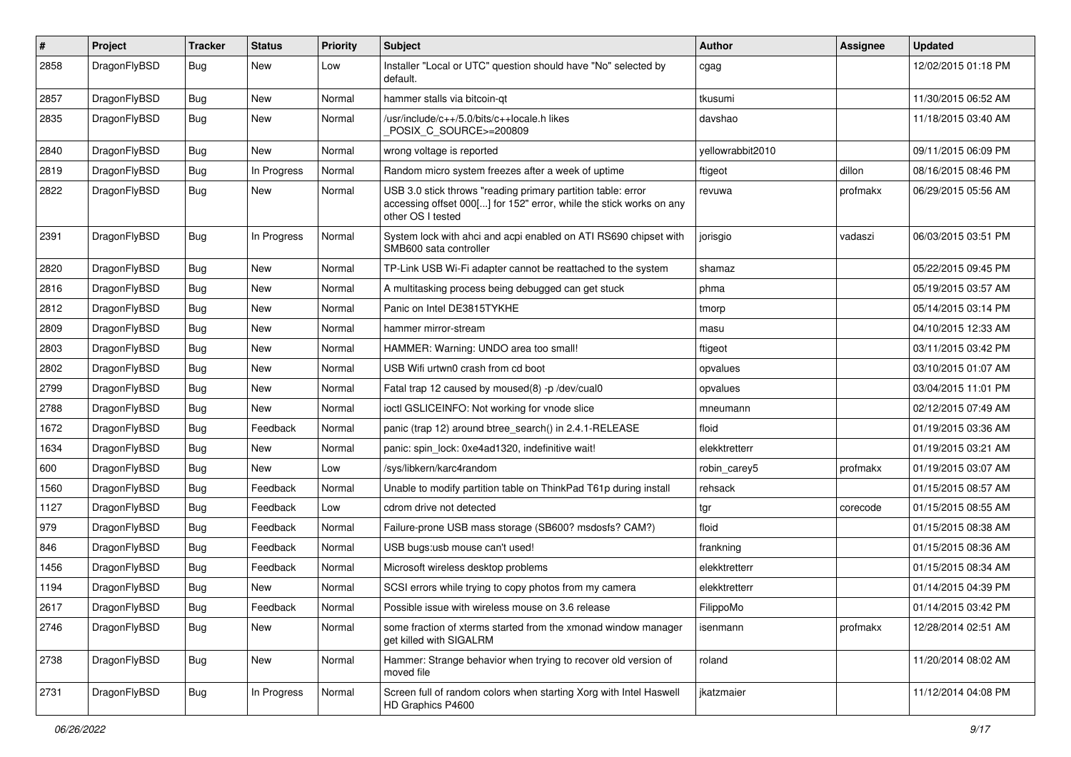| $\sharp$ | Project      | <b>Tracker</b> | <b>Status</b> | <b>Priority</b> | Subject                                                                                                                                                  | Author           | Assignee | <b>Updated</b>      |
|----------|--------------|----------------|---------------|-----------------|----------------------------------------------------------------------------------------------------------------------------------------------------------|------------------|----------|---------------------|
| 2858     | DragonFlyBSD | Bug            | <b>New</b>    | Low             | Installer "Local or UTC" question should have "No" selected by<br>default.                                                                               | cgag             |          | 12/02/2015 01:18 PM |
| 2857     | DragonFlyBSD | <b>Bug</b>     | <b>New</b>    | Normal          | hammer stalls via bitcoin-qt                                                                                                                             | tkusumi          |          | 11/30/2015 06:52 AM |
| 2835     | DragonFlyBSD | <b>Bug</b>     | New           | Normal          | /usr/include/c++/5.0/bits/c++locale.h likes<br>POSIX_C_SOURCE>=200809                                                                                    | davshao          |          | 11/18/2015 03:40 AM |
| 2840     | DragonFlyBSD | <b>Bug</b>     | <b>New</b>    | Normal          | wrong voltage is reported                                                                                                                                | yellowrabbit2010 |          | 09/11/2015 06:09 PM |
| 2819     | DragonFlyBSD | <b>Bug</b>     | In Progress   | Normal          | Random micro system freezes after a week of uptime                                                                                                       | ftigeot          | dillon   | 08/16/2015 08:46 PM |
| 2822     | DragonFlyBSD | <b>Bug</b>     | New           | Normal          | USB 3.0 stick throws "reading primary partition table: error<br>accessing offset 000[] for 152" error, while the stick works on any<br>other OS I tested | revuwa           | profmakx | 06/29/2015 05:56 AM |
| 2391     | DragonFlyBSD | Bug            | In Progress   | Normal          | System lock with ahci and acpi enabled on ATI RS690 chipset with<br>SMB600 sata controller                                                               | jorisgio         | vadaszi  | 06/03/2015 03:51 PM |
| 2820     | DragonFlyBSD | <b>Bug</b>     | <b>New</b>    | Normal          | TP-Link USB Wi-Fi adapter cannot be reattached to the system                                                                                             | shamaz           |          | 05/22/2015 09:45 PM |
| 2816     | DragonFlyBSD | <b>Bug</b>     | New           | Normal          | A multitasking process being debugged can get stuck                                                                                                      | phma             |          | 05/19/2015 03:57 AM |
| 2812     | DragonFlyBSD | <b>Bug</b>     | New           | Normal          | Panic on Intel DE3815TYKHE                                                                                                                               | tmorp            |          | 05/14/2015 03:14 PM |
| 2809     | DragonFlyBSD | <b>Bug</b>     | <b>New</b>    | Normal          | hammer mirror-stream                                                                                                                                     | masu             |          | 04/10/2015 12:33 AM |
| 2803     | DragonFlyBSD | <b>Bug</b>     | New           | Normal          | HAMMER: Warning: UNDO area too small!                                                                                                                    | ftigeot          |          | 03/11/2015 03:42 PM |
| 2802     | DragonFlyBSD | <b>Bug</b>     | New           | Normal          | USB Wifi urtwn0 crash from cd boot                                                                                                                       | opvalues         |          | 03/10/2015 01:07 AM |
| 2799     | DragonFlyBSD | Bug            | New           | Normal          | Fatal trap 12 caused by moused(8) -p/dev/cual0                                                                                                           | opvalues         |          | 03/04/2015 11:01 PM |
| 2788     | DragonFlyBSD | <b>Bug</b>     | New           | Normal          | ioctl GSLICEINFO: Not working for vnode slice                                                                                                            | mneumann         |          | 02/12/2015 07:49 AM |
| 1672     | DragonFlyBSD | <b>Bug</b>     | Feedback      | Normal          | panic (trap 12) around btree_search() in 2.4.1-RELEASE                                                                                                   | floid            |          | 01/19/2015 03:36 AM |
| 1634     | DragonFlyBSD | <b>Bug</b>     | New           | Normal          | panic: spin lock: 0xe4ad1320, indefinitive wait!                                                                                                         | elekktretterr    |          | 01/19/2015 03:21 AM |
| 600      | DragonFlyBSD | <b>Bug</b>     | New           | Low             | /sys/libkern/karc4random                                                                                                                                 | robin_carey5     | profmakx | 01/19/2015 03:07 AM |
| 1560     | DragonFlyBSD | Bug            | Feedback      | Normal          | Unable to modify partition table on ThinkPad T61p during install                                                                                         | rehsack          |          | 01/15/2015 08:57 AM |
| 1127     | DragonFlyBSD | <b>Bug</b>     | Feedback      | Low             | cdrom drive not detected                                                                                                                                 | tgr              | corecode | 01/15/2015 08:55 AM |
| 979      | DragonFlyBSD | <b>Bug</b>     | Feedback      | Normal          | Failure-prone USB mass storage (SB600? msdosfs? CAM?)                                                                                                    | floid            |          | 01/15/2015 08:38 AM |
| 846      | DragonFlyBSD | Bug            | Feedback      | Normal          | USB bugs:usb mouse can't used!                                                                                                                           | frankning        |          | 01/15/2015 08:36 AM |
| 1456     | DragonFlyBSD | <b>Bug</b>     | Feedback      | Normal          | Microsoft wireless desktop problems                                                                                                                      | elekktretterr    |          | 01/15/2015 08:34 AM |
| 1194     | DragonFlyBSD | <b>Bug</b>     | New           | Normal          | SCSI errors while trying to copy photos from my camera                                                                                                   | elekktretterr    |          | 01/14/2015 04:39 PM |
| 2617     | DragonFlyBSD | <b>Bug</b>     | Feedback      | Normal          | Possible issue with wireless mouse on 3.6 release                                                                                                        | FilippoMo        |          | 01/14/2015 03:42 PM |
| 2746     | DragonFlyBSD | <b>Bug</b>     | New           | Normal          | some fraction of xterms started from the xmonad window manager<br>get killed with SIGALRM                                                                | isenmann         | profmakx | 12/28/2014 02:51 AM |
| 2738     | DragonFlyBSD | <b>Bug</b>     | <b>New</b>    | Normal          | Hammer: Strange behavior when trying to recover old version of<br>moved file                                                                             | roland           |          | 11/20/2014 08:02 AM |
| 2731     | DragonFlyBSD | <b>Bug</b>     | In Progress   | Normal          | Screen full of random colors when starting Xorg with Intel Haswell<br>HD Graphics P4600                                                                  | jkatzmaier       |          | 11/12/2014 04:08 PM |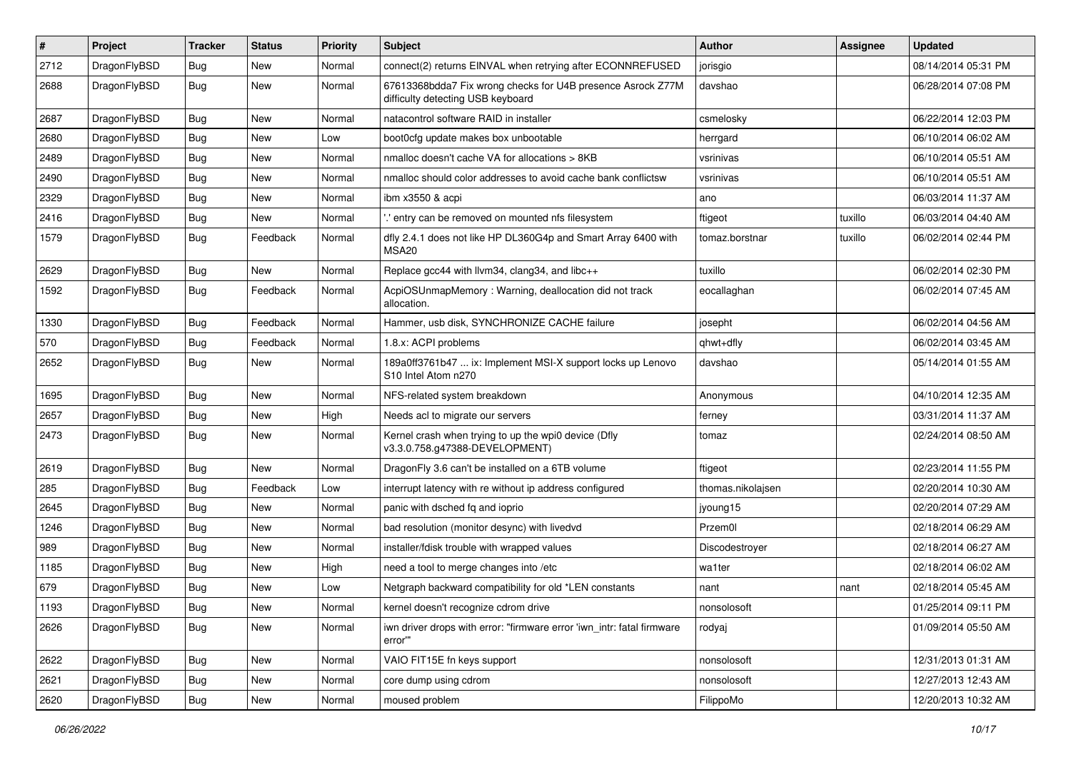| #    | Project      | <b>Tracker</b> | <b>Status</b> | <b>Priority</b> | Subject                                                                                          | Author            | Assignee | <b>Updated</b>      |
|------|--------------|----------------|---------------|-----------------|--------------------------------------------------------------------------------------------------|-------------------|----------|---------------------|
| 2712 | DragonFlyBSD | <b>Bug</b>     | New           | Normal          | connect(2) returns EINVAL when retrying after ECONNREFUSED                                       | jorisgio          |          | 08/14/2014 05:31 PM |
| 2688 | DragonFlyBSD | Bug            | New           | Normal          | 67613368bdda7 Fix wrong checks for U4B presence Asrock Z77M<br>difficulty detecting USB keyboard | davshao           |          | 06/28/2014 07:08 PM |
| 2687 | DragonFlyBSD | Bug            | <b>New</b>    | Normal          | natacontrol software RAID in installer                                                           | csmelosky         |          | 06/22/2014 12:03 PM |
| 2680 | DragonFlyBSD | <b>Bug</b>     | <b>New</b>    | Low             | boot0cfg update makes box unbootable                                                             | herrgard          |          | 06/10/2014 06:02 AM |
| 2489 | DragonFlyBSD | <b>Bug</b>     | New           | Normal          | nmalloc doesn't cache VA for allocations > 8KB                                                   | vsrinivas         |          | 06/10/2014 05:51 AM |
| 2490 | DragonFlyBSD | Bug            | <b>New</b>    | Normal          | nmalloc should color addresses to avoid cache bank conflictsw                                    | vsrinivas         |          | 06/10/2014 05:51 AM |
| 2329 | DragonFlyBSD | <b>Bug</b>     | New           | Normal          | ibm x3550 & acpi                                                                                 | ano               |          | 06/03/2014 11:37 AM |
| 2416 | DragonFlyBSD | Bug            | New           | Normal          | ' entry can be removed on mounted nfs filesystem                                                 | ftigeot           | tuxillo  | 06/03/2014 04:40 AM |
| 1579 | DragonFlyBSD | Bug            | Feedback      | Normal          | dfly 2.4.1 does not like HP DL360G4p and Smart Array 6400 with<br>MSA <sub>20</sub>              | tomaz.borstnar    | tuxillo  | 06/02/2014 02:44 PM |
| 2629 | DragonFlyBSD | Bug            | New           | Normal          | Replace gcc44 with llvm34, clang34, and libc++                                                   | tuxillo           |          | 06/02/2014 02:30 PM |
| 1592 | DragonFlyBSD | <b>Bug</b>     | Feedback      | Normal          | AcpiOSUnmapMemory: Warning, deallocation did not track<br>allocation.                            | eocallaghan       |          | 06/02/2014 07:45 AM |
| 1330 | DragonFlyBSD | Bug            | Feedback      | Normal          | Hammer, usb disk, SYNCHRONIZE CACHE failure                                                      | josepht           |          | 06/02/2014 04:56 AM |
| 570  | DragonFlyBSD | <b>Bug</b>     | Feedback      | Normal          | 1.8.x: ACPI problems                                                                             | qhwt+dfly         |          | 06/02/2014 03:45 AM |
| 2652 | DragonFlyBSD | Bug            | New           | Normal          | 189a0ff3761b47  ix: Implement MSI-X support locks up Lenovo<br>S10 Intel Atom n270               | davshao           |          | 05/14/2014 01:55 AM |
| 1695 | DragonFlyBSD | <b>Bug</b>     | <b>New</b>    | Normal          | NFS-related system breakdown                                                                     | Anonymous         |          | 04/10/2014 12:35 AM |
| 2657 | DragonFlyBSD | <b>Bug</b>     | New           | High            | Needs acl to migrate our servers                                                                 | ferney            |          | 03/31/2014 11:37 AM |
| 2473 | DragonFlyBSD | Bug            | <b>New</b>    | Normal          | Kernel crash when trying to up the wpi0 device (Dfly<br>v3.3.0.758.g47388-DEVELOPMENT)           | tomaz             |          | 02/24/2014 08:50 AM |
| 2619 | DragonFlyBSD | Bug            | <b>New</b>    | Normal          | DragonFly 3.6 can't be installed on a 6TB volume                                                 | ftigeot           |          | 02/23/2014 11:55 PM |
| 285  | DragonFlyBSD | Bug            | Feedback      | Low             | interrupt latency with re without ip address configured                                          | thomas.nikolajsen |          | 02/20/2014 10:30 AM |
| 2645 | DragonFlyBSD | Bug            | <b>New</b>    | Normal          | panic with dsched fq and ioprio                                                                  | jyoung15          |          | 02/20/2014 07:29 AM |
| 1246 | DragonFlyBSD | Bug            | <b>New</b>    | Normal          | bad resolution (monitor desync) with livedvd                                                     | Przem0l           |          | 02/18/2014 06:29 AM |
| 989  | DragonFlyBSD | Bug            | New           | Normal          | installer/fdisk trouble with wrapped values                                                      | Discodestrover    |          | 02/18/2014 06:27 AM |
| 1185 | DragonFlyBSD | Bug            | <b>New</b>    | High            | need a tool to merge changes into /etc                                                           | wa1ter            |          | 02/18/2014 06:02 AM |
| 679  | DragonFlyBSD | <b>Bug</b>     | New           | Low             | Netgraph backward compatibility for old *LEN constants                                           | nant              | nant     | 02/18/2014 05:45 AM |
| 1193 | DragonFlyBSD | Bug            | New           | Normal          | kernel doesn't recognize cdrom drive                                                             | nonsolosoft       |          | 01/25/2014 09:11 PM |
| 2626 | DragonFlyBSD | Bug            | New           | Normal          | iwn driver drops with error: "firmware error 'iwn_intr: fatal firmware<br>error""                | rodyaj            |          | 01/09/2014 05:50 AM |
| 2622 | DragonFlyBSD | <b>Bug</b>     | New           | Normal          | VAIO FIT15E fn keys support                                                                      | nonsolosoft       |          | 12/31/2013 01:31 AM |
| 2621 | DragonFlyBSD | Bug            | New           | Normal          | core dump using cdrom                                                                            | nonsolosoft       |          | 12/27/2013 12:43 AM |
| 2620 | DragonFlyBSD | Bug            | New           | Normal          | moused problem                                                                                   | FilippoMo         |          | 12/20/2013 10:32 AM |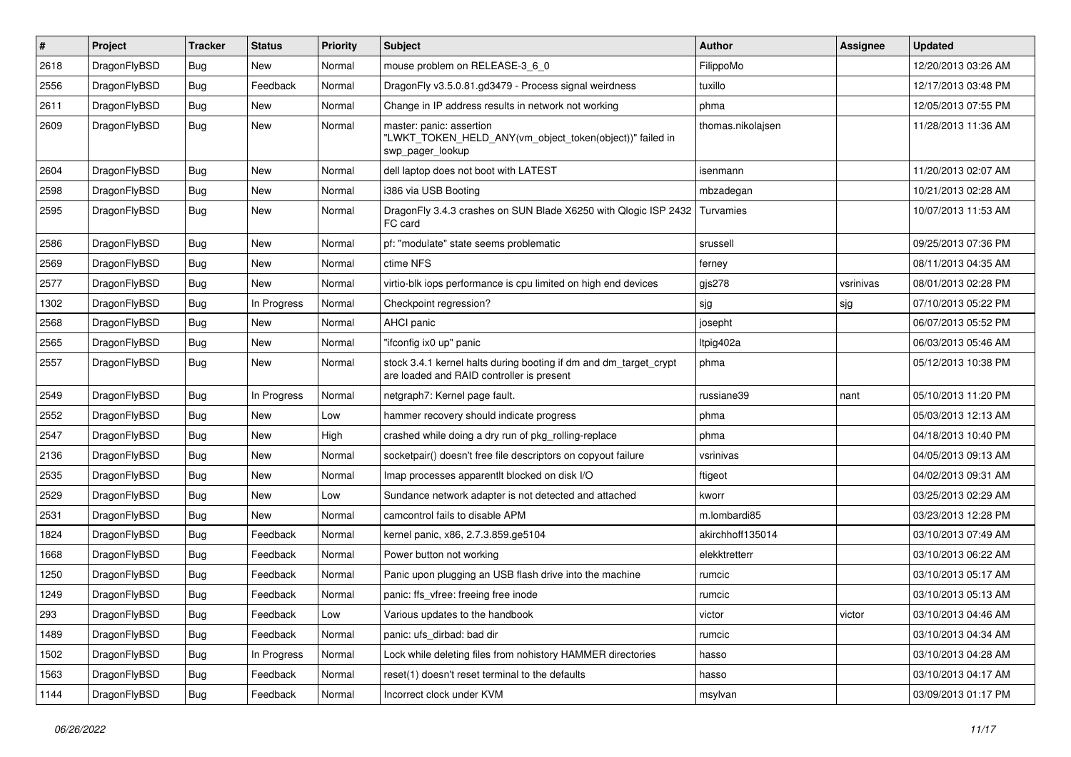| $\sharp$ | Project      | <b>Tracker</b> | <b>Status</b> | <b>Priority</b> | Subject                                                                                                        | Author            | <b>Assignee</b> | <b>Updated</b>      |
|----------|--------------|----------------|---------------|-----------------|----------------------------------------------------------------------------------------------------------------|-------------------|-----------------|---------------------|
| 2618     | DragonFlyBSD | <b>Bug</b>     | <b>New</b>    | Normal          | mouse problem on RELEASE-3_6_0                                                                                 | FilippoMo         |                 | 12/20/2013 03:26 AM |
| 2556     | DragonFlyBSD | <b>Bug</b>     | Feedback      | Normal          | DragonFly v3.5.0.81.gd3479 - Process signal weirdness                                                          | tuxillo           |                 | 12/17/2013 03:48 PM |
| 2611     | DragonFlyBSD | <b>Bug</b>     | New           | Normal          | Change in IP address results in network not working                                                            | phma              |                 | 12/05/2013 07:55 PM |
| 2609     | DragonFlyBSD | Bug            | <b>New</b>    | Normal          | master: panic: assertion<br>"LWKT_TOKEN_HELD_ANY(vm_object_token(object))" failed in<br>swp pager lookup       | thomas.nikolajsen |                 | 11/28/2013 11:36 AM |
| 2604     | DragonFlyBSD | Bug            | <b>New</b>    | Normal          | dell laptop does not boot with LATEST                                                                          | isenmann          |                 | 11/20/2013 02:07 AM |
| 2598     | DragonFlyBSD | <b>Bug</b>     | New           | Normal          | i386 via USB Booting                                                                                           | mbzadegan         |                 | 10/21/2013 02:28 AM |
| 2595     | DragonFlyBSD | Bug            | New           | Normal          | DragonFly 3.4.3 crashes on SUN Blade X6250 with Qlogic ISP 2432<br>FC card                                     | Turvamies         |                 | 10/07/2013 11:53 AM |
| 2586     | DragonFlyBSD | <b>Bug</b>     | New           | Normal          | pf: "modulate" state seems problematic                                                                         | srussell          |                 | 09/25/2013 07:36 PM |
| 2569     | DragonFlyBSD | Bug            | <b>New</b>    | Normal          | ctime NFS                                                                                                      | ferney            |                 | 08/11/2013 04:35 AM |
| 2577     | DragonFlyBSD | Bug            | <b>New</b>    | Normal          | virtio-blk iops performance is cpu limited on high end devices                                                 | $g$ js $278$      | vsrinivas       | 08/01/2013 02:28 PM |
| 1302     | DragonFlyBSD | Bug            | In Progress   | Normal          | Checkpoint regression?                                                                                         | sjg               | sjg             | 07/10/2013 05:22 PM |
| 2568     | DragonFlyBSD | Bug            | <b>New</b>    | Normal          | AHCI panic                                                                                                     | josepht           |                 | 06/07/2013 05:52 PM |
| 2565     | DragonFlyBSD | Bug            | <b>New</b>    | Normal          | "ifconfig ix0 up" panic                                                                                        | Itpig402a         |                 | 06/03/2013 05:46 AM |
| 2557     | DragonFlyBSD | Bug            | New           | Normal          | stock 3.4.1 kernel halts during booting if dm and dm_target_crypt<br>are loaded and RAID controller is present | phma              |                 | 05/12/2013 10:38 PM |
| 2549     | DragonFlyBSD | Bug            | In Progress   | Normal          | netgraph7: Kernel page fault.                                                                                  | russiane39        | nant            | 05/10/2013 11:20 PM |
| 2552     | DragonFlyBSD | Bug            | <b>New</b>    | Low             | hammer recovery should indicate progress                                                                       | phma              |                 | 05/03/2013 12:13 AM |
| 2547     | DragonFlyBSD | Bug            | New           | High            | crashed while doing a dry run of pkg_rolling-replace                                                           | phma              |                 | 04/18/2013 10:40 PM |
| 2136     | DragonFlyBSD | Bug            | <b>New</b>    | Normal          | socketpair() doesn't free file descriptors on copyout failure                                                  | vsrinivas         |                 | 04/05/2013 09:13 AM |
| 2535     | DragonFlyBSD | <b>Bug</b>     | New           | Normal          | Imap processes apparentlt blocked on disk I/O                                                                  | ftigeot           |                 | 04/02/2013 09:31 AM |
| 2529     | DragonFlyBSD | <b>Bug</b>     | <b>New</b>    | Low             | Sundance network adapter is not detected and attached                                                          | kworr             |                 | 03/25/2013 02:29 AM |
| 2531     | DragonFlyBSD | <b>Bug</b>     | New           | Normal          | camcontrol fails to disable APM                                                                                | m.lombardi85      |                 | 03/23/2013 12:28 PM |
| 1824     | DragonFlyBSD | <b>Bug</b>     | Feedback      | Normal          | kernel panic, x86, 2.7.3.859.ge5104                                                                            | akirchhoff135014  |                 | 03/10/2013 07:49 AM |
| 1668     | DragonFlyBSD | <b>Bug</b>     | Feedback      | Normal          | Power button not working                                                                                       | elekktretterr     |                 | 03/10/2013 06:22 AM |
| 1250     | DragonFlyBSD | <b>Bug</b>     | Feedback      | Normal          | Panic upon plugging an USB flash drive into the machine                                                        | rumcic            |                 | 03/10/2013 05:17 AM |
| 1249     | DragonFlyBSD | <b>Bug</b>     | Feedback      | Normal          | panic: ffs vfree: freeing free inode                                                                           | rumcic            |                 | 03/10/2013 05:13 AM |
| 293      | DragonFlyBSD | <b>Bug</b>     | Feedback      | Low             | Various updates to the handbook                                                                                | victor            | victor          | 03/10/2013 04:46 AM |
| 1489     | DragonFlyBSD | <b>Bug</b>     | Feedback      | Normal          | panic: ufs_dirbad: bad dir                                                                                     | rumcic            |                 | 03/10/2013 04:34 AM |
| 1502     | DragonFlyBSD | <b>Bug</b>     | In Progress   | Normal          | Lock while deleting files from nohistory HAMMER directories                                                    | hasso             |                 | 03/10/2013 04:28 AM |
| 1563     | DragonFlyBSD | <b>Bug</b>     | Feedback      | Normal          | reset(1) doesn't reset terminal to the defaults                                                                | hasso             |                 | 03/10/2013 04:17 AM |
| 1144     | DragonFlyBSD | <b>Bug</b>     | Feedback      | Normal          | Incorrect clock under KVM                                                                                      | msylvan           |                 | 03/09/2013 01:17 PM |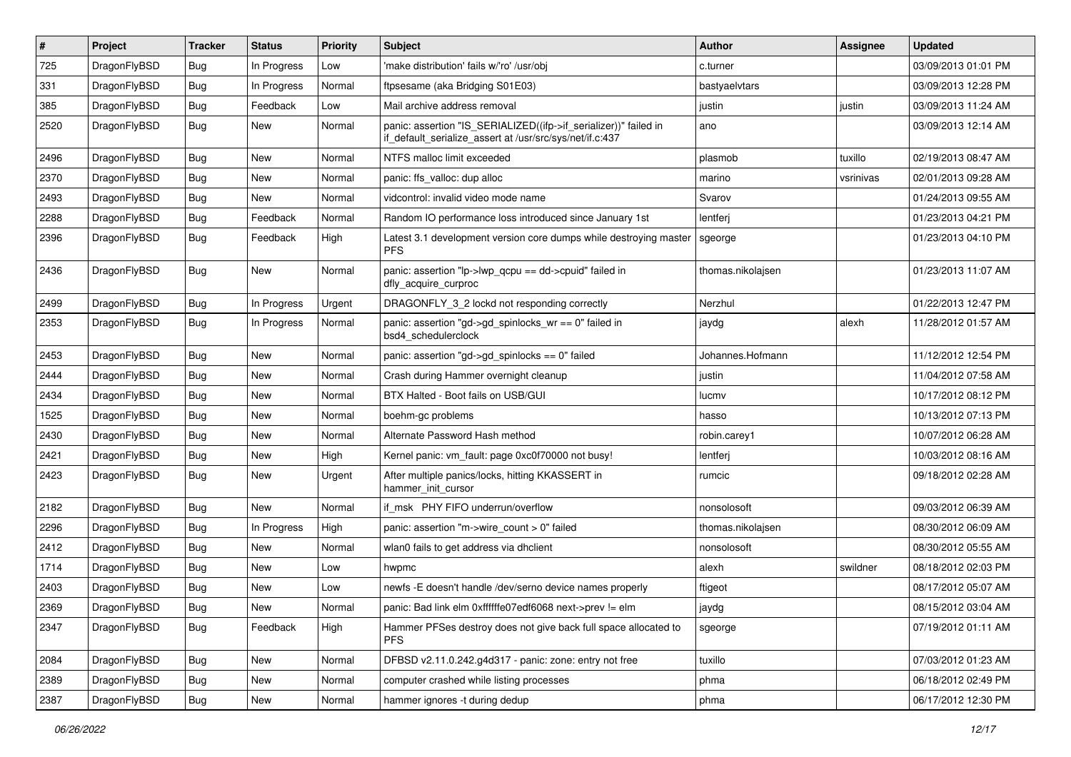| $\pmb{\#}$ | Project      | <b>Tracker</b> | <b>Status</b> | <b>Priority</b> | Subject                                                                                                                      | Author            | Assignee  | <b>Updated</b>      |
|------------|--------------|----------------|---------------|-----------------|------------------------------------------------------------------------------------------------------------------------------|-------------------|-----------|---------------------|
| 725        | DragonFlyBSD | <b>Bug</b>     | In Progress   | Low             | 'make distribution' fails w/'ro' /usr/obj                                                                                    | c.turner          |           | 03/09/2013 01:01 PM |
| 331        | DragonFlyBSD | <b>Bug</b>     | In Progress   | Normal          | ftpsesame (aka Bridging S01E03)                                                                                              | bastyaelvtars     |           | 03/09/2013 12:28 PM |
| 385        | DragonFlyBSD | <b>Bug</b>     | Feedback      | Low             | Mail archive address removal                                                                                                 | justin            | justin    | 03/09/2013 11:24 AM |
| 2520       | DragonFlyBSD | Bug            | New           | Normal          | panic: assertion "IS_SERIALIZED((ifp->if_serializer))" failed in<br>if_default_serialize_assert at /usr/src/sys/net/if.c:437 | ano               |           | 03/09/2013 12:14 AM |
| 2496       | DragonFlyBSD | <b>Bug</b>     | <b>New</b>    | Normal          | NTFS malloc limit exceeded                                                                                                   | plasmob           | tuxillo   | 02/19/2013 08:47 AM |
| 2370       | DragonFlyBSD | <b>Bug</b>     | <b>New</b>    | Normal          | panic: ffs_valloc: dup alloc                                                                                                 | marino            | vsrinivas | 02/01/2013 09:28 AM |
| 2493       | DragonFlyBSD | <b>Bug</b>     | <b>New</b>    | Normal          | vidcontrol: invalid video mode name                                                                                          | Svarov            |           | 01/24/2013 09:55 AM |
| 2288       | DragonFlyBSD | Bug            | Feedback      | Normal          | Random IO performance loss introduced since January 1st                                                                      | lentferj          |           | 01/23/2013 04:21 PM |
| 2396       | DragonFlyBSD | Bug            | Feedback      | High            | Latest 3.1 development version core dumps while destroying master<br><b>PFS</b>                                              | sgeorge           |           | 01/23/2013 04:10 PM |
| 2436       | DragonFlyBSD | Bug            | <b>New</b>    | Normal          | panic: assertion "lp->lwp_qcpu == dd->cpuid" failed in<br>dfly acquire curproc                                               | thomas.nikolajsen |           | 01/23/2013 11:07 AM |
| 2499       | DragonFlyBSD | <b>Bug</b>     | In Progress   | Urgent          | DRAGONFLY_3_2 lockd not responding correctly                                                                                 | Nerzhul           |           | 01/22/2013 12:47 PM |
| 2353       | DragonFlyBSD | <b>Bug</b>     | In Progress   | Normal          | panic: assertion "gd->gd_spinlocks_wr == 0" failed in<br>bsd4 schedulerclock                                                 | jaydg             | alexh     | 11/28/2012 01:57 AM |
| 2453       | DragonFlyBSD | Bug            | <b>New</b>    | Normal          | panic: assertion "gd->gd_spinlocks == 0" failed                                                                              | Johannes.Hofmann  |           | 11/12/2012 12:54 PM |
| 2444       | DragonFlyBSD | <b>Bug</b>     | <b>New</b>    | Normal          | Crash during Hammer overnight cleanup                                                                                        | justin            |           | 11/04/2012 07:58 AM |
| 2434       | DragonFlyBSD | <b>Bug</b>     | <b>New</b>    | Normal          | BTX Halted - Boot fails on USB/GUI                                                                                           | lucmv             |           | 10/17/2012 08:12 PM |
| 1525       | DragonFlyBSD | Bug            | <b>New</b>    | Normal          | boehm-gc problems                                                                                                            | hasso             |           | 10/13/2012 07:13 PM |
| 2430       | DragonFlyBSD | <b>Bug</b>     | <b>New</b>    | Normal          | Alternate Password Hash method                                                                                               | robin.carey1      |           | 10/07/2012 06:28 AM |
| 2421       | DragonFlyBSD | <b>Bug</b>     | <b>New</b>    | High            | Kernel panic: vm_fault: page 0xc0f70000 not busy!                                                                            | lentferj          |           | 10/03/2012 08:16 AM |
| 2423       | DragonFlyBSD | <b>Bug</b>     | <b>New</b>    | Urgent          | After multiple panics/locks, hitting KKASSERT in<br>hammer init cursor                                                       | rumcic            |           | 09/18/2012 02:28 AM |
| 2182       | DragonFlyBSD | Bug            | <b>New</b>    | Normal          | if msk PHY FIFO underrun/overflow                                                                                            | nonsolosoft       |           | 09/03/2012 06:39 AM |
| 2296       | DragonFlyBSD | <b>Bug</b>     | In Progress   | High            | panic: assertion "m->wire count > 0" failed                                                                                  | thomas.nikolajsen |           | 08/30/2012 06:09 AM |
| 2412       | DragonFlyBSD | <b>Bug</b>     | New           | Normal          | wlan0 fails to get address via dhclient                                                                                      | nonsolosoft       |           | 08/30/2012 05:55 AM |
| 1714       | DragonFlyBSD | Bug            | <b>New</b>    | Low             | hwpmc                                                                                                                        | alexh             | swildner  | 08/18/2012 02:03 PM |
| 2403       | DragonFlyBSD | <b>Bug</b>     | New           | Low             | newfs -E doesn't handle /dev/serno device names properly                                                                     | ftigeot           |           | 08/17/2012 05:07 AM |
| 2369       | DragonFlyBSD | Bug            | New           | Normal          | panic: Bad link elm 0xffffffe07edf6068 next->prev != elm                                                                     | jaydg             |           | 08/15/2012 03:04 AM |
| 2347       | DragonFlyBSD | Bug            | Feedback      | High            | Hammer PFSes destroy does not give back full space allocated to<br><b>PFS</b>                                                | sgeorge           |           | 07/19/2012 01:11 AM |
| 2084       | DragonFlyBSD | <b>Bug</b>     | New           | Normal          | DFBSD v2.11.0.242.g4d317 - panic: zone: entry not free                                                                       | tuxillo           |           | 07/03/2012 01:23 AM |
| 2389       | DragonFlyBSD | Bug            | New           | Normal          | computer crashed while listing processes                                                                                     | phma              |           | 06/18/2012 02:49 PM |
| 2387       | DragonFlyBSD | <b>Bug</b>     | New           | Normal          | hammer ignores -t during dedup                                                                                               | phma              |           | 06/17/2012 12:30 PM |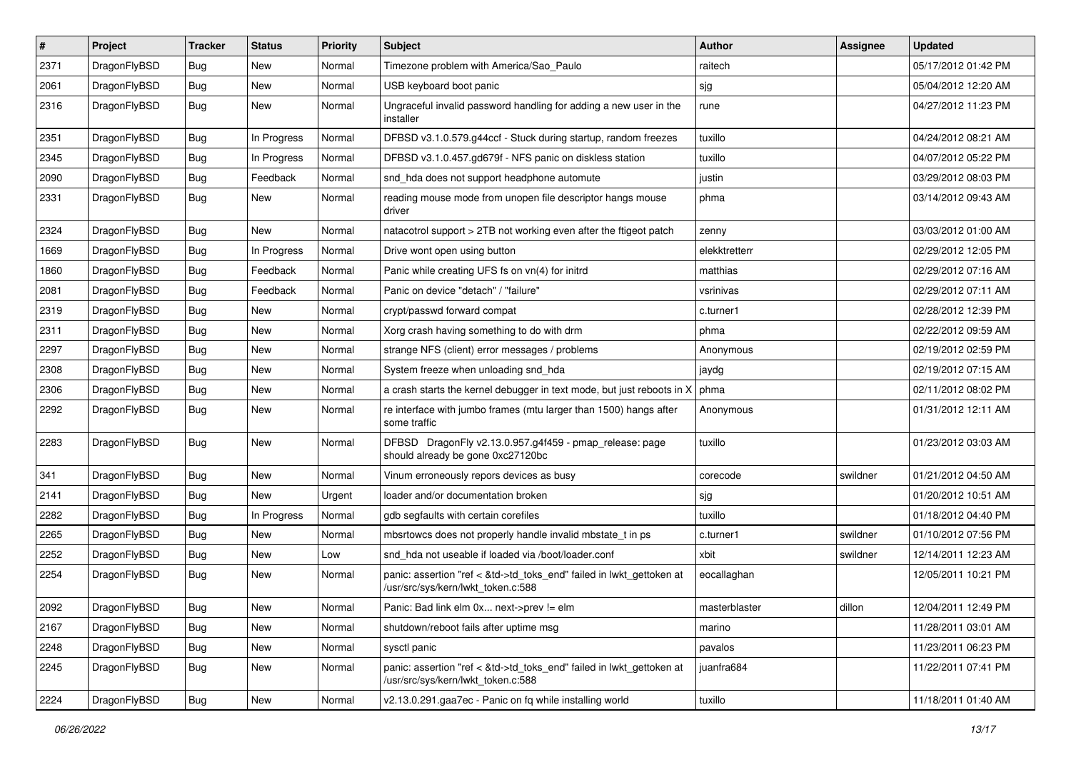| $\sharp$ | Project      | <b>Tracker</b> | <b>Status</b> | <b>Priority</b> | Subject                                                                                                    | Author        | <b>Assignee</b> | <b>Updated</b>      |
|----------|--------------|----------------|---------------|-----------------|------------------------------------------------------------------------------------------------------------|---------------|-----------------|---------------------|
| 2371     | DragonFlyBSD | <b>Bug</b>     | New           | Normal          | Timezone problem with America/Sao_Paulo                                                                    | raitech       |                 | 05/17/2012 01:42 PM |
| 2061     | DragonFlyBSD | <b>Bug</b>     | <b>New</b>    | Normal          | USB keyboard boot panic                                                                                    | sjg           |                 | 05/04/2012 12:20 AM |
| 2316     | DragonFlyBSD | <b>Bug</b>     | New           | Normal          | Ungraceful invalid password handling for adding a new user in the<br>installer                             | rune          |                 | 04/27/2012 11:23 PM |
| 2351     | DragonFlyBSD | <b>Bug</b>     | In Progress   | Normal          | DFBSD v3.1.0.579.g44ccf - Stuck during startup, random freezes                                             | tuxillo       |                 | 04/24/2012 08:21 AM |
| 2345     | DragonFlyBSD | <b>Bug</b>     | In Progress   | Normal          | DFBSD v3.1.0.457.gd679f - NFS panic on diskless station                                                    | tuxillo       |                 | 04/07/2012 05:22 PM |
| 2090     | DragonFlyBSD | <b>Bug</b>     | Feedback      | Normal          | snd_hda does not support headphone automute                                                                | justin        |                 | 03/29/2012 08:03 PM |
| 2331     | DragonFlyBSD | <b>Bug</b>     | <b>New</b>    | Normal          | reading mouse mode from unopen file descriptor hangs mouse<br>driver                                       | phma          |                 | 03/14/2012 09:43 AM |
| 2324     | DragonFlyBSD | Bug            | <b>New</b>    | Normal          | natacotrol support > 2TB not working even after the ftigeot patch                                          | zenny         |                 | 03/03/2012 01:00 AM |
| 1669     | DragonFlyBSD | <b>Bug</b>     | In Progress   | Normal          | Drive wont open using button                                                                               | elekktretterr |                 | 02/29/2012 12:05 PM |
| 1860     | DragonFlyBSD | <b>Bug</b>     | Feedback      | Normal          | Panic while creating UFS fs on vn(4) for initrd                                                            | matthias      |                 | 02/29/2012 07:16 AM |
| 2081     | DragonFlyBSD | <b>Bug</b>     | Feedback      | Normal          | Panic on device "detach" / "failure"                                                                       | vsrinivas     |                 | 02/29/2012 07:11 AM |
| 2319     | DragonFlyBSD | <b>Bug</b>     | New           | Normal          | crypt/passwd forward compat                                                                                | c.turner1     |                 | 02/28/2012 12:39 PM |
| 2311     | DragonFlyBSD | Bug            | New           | Normal          | Xorg crash having something to do with drm                                                                 | phma          |                 | 02/22/2012 09:59 AM |
| 2297     | DragonFlyBSD | <b>Bug</b>     | <b>New</b>    | Normal          | strange NFS (client) error messages / problems                                                             | Anonymous     |                 | 02/19/2012 02:59 PM |
| 2308     | DragonFlyBSD | <b>Bug</b>     | <b>New</b>    | Normal          | System freeze when unloading snd hda                                                                       | jaydg         |                 | 02/19/2012 07:15 AM |
| 2306     | DragonFlyBSD | <b>Bug</b>     | <b>New</b>    | Normal          | a crash starts the kernel debugger in text mode, but just reboots in X                                     | phma          |                 | 02/11/2012 08:02 PM |
| 2292     | DragonFlyBSD | <b>Bug</b>     | New           | Normal          | re interface with jumbo frames (mtu larger than 1500) hangs after<br>some traffic                          | Anonymous     |                 | 01/31/2012 12:11 AM |
| 2283     | DragonFlyBSD | Bug            | <b>New</b>    | Normal          | DFBSD DragonFly v2.13.0.957.g4f459 - pmap_release: page<br>should already be gone 0xc27120bc               | tuxillo       |                 | 01/23/2012 03:03 AM |
| 341      | DragonFlyBSD | Bug            | New           | Normal          | Vinum erroneously repors devices as busy                                                                   | corecode      | swildner        | 01/21/2012 04:50 AM |
| 2141     | DragonFlyBSD | <b>Bug</b>     | <b>New</b>    | Urgent          | loader and/or documentation broken                                                                         | sjg           |                 | 01/20/2012 10:51 AM |
| 2282     | DragonFlyBSD | <b>Bug</b>     | In Progress   | Normal          | gdb segfaults with certain corefiles                                                                       | tuxillo       |                 | 01/18/2012 04:40 PM |
| 2265     | DragonFlyBSD | <b>Bug</b>     | New           | Normal          | mbsrtowcs does not properly handle invalid mbstate_t in ps                                                 | c.turner1     | swildner        | 01/10/2012 07:56 PM |
| 2252     | DragonFlyBSD | <b>Bug</b>     | New           | Low             | snd hda not useable if loaded via /boot/loader.conf                                                        | xbit          | swildner        | 12/14/2011 12:23 AM |
| 2254     | DragonFlyBSD | <b>Bug</b>     | New           | Normal          | panic: assertion "ref < &td->td_toks_end" failed in lwkt_gettoken at<br>/usr/src/sys/kern/lwkt_token.c:588 | eocallaghan   |                 | 12/05/2011 10:21 PM |
| 2092     | DragonFlyBSD | <b>Bug</b>     | New           | Normal          | Panic: Bad link elm 0x next->prev != elm                                                                   | masterblaster | dillon          | 12/04/2011 12:49 PM |
| 2167     | DragonFlyBSD | <b>Bug</b>     | <b>New</b>    | Normal          | shutdown/reboot fails after uptime msg                                                                     | marino        |                 | 11/28/2011 03:01 AM |
| 2248     | DragonFlyBSD | <b>Bug</b>     | New           | Normal          | sysctl panic                                                                                               | pavalos       |                 | 11/23/2011 06:23 PM |
| 2245     | DragonFlyBSD | Bug            | New           | Normal          | panic: assertion "ref < &td->td toks end" failed in lwkt gettoken at<br>/usr/src/sys/kern/lwkt token.c:588 | juanfra684    |                 | 11/22/2011 07:41 PM |
| 2224     | DragonFlyBSD | <b>Bug</b>     | New           | Normal          | v2.13.0.291.gaa7ec - Panic on fq while installing world                                                    | tuxillo       |                 | 11/18/2011 01:40 AM |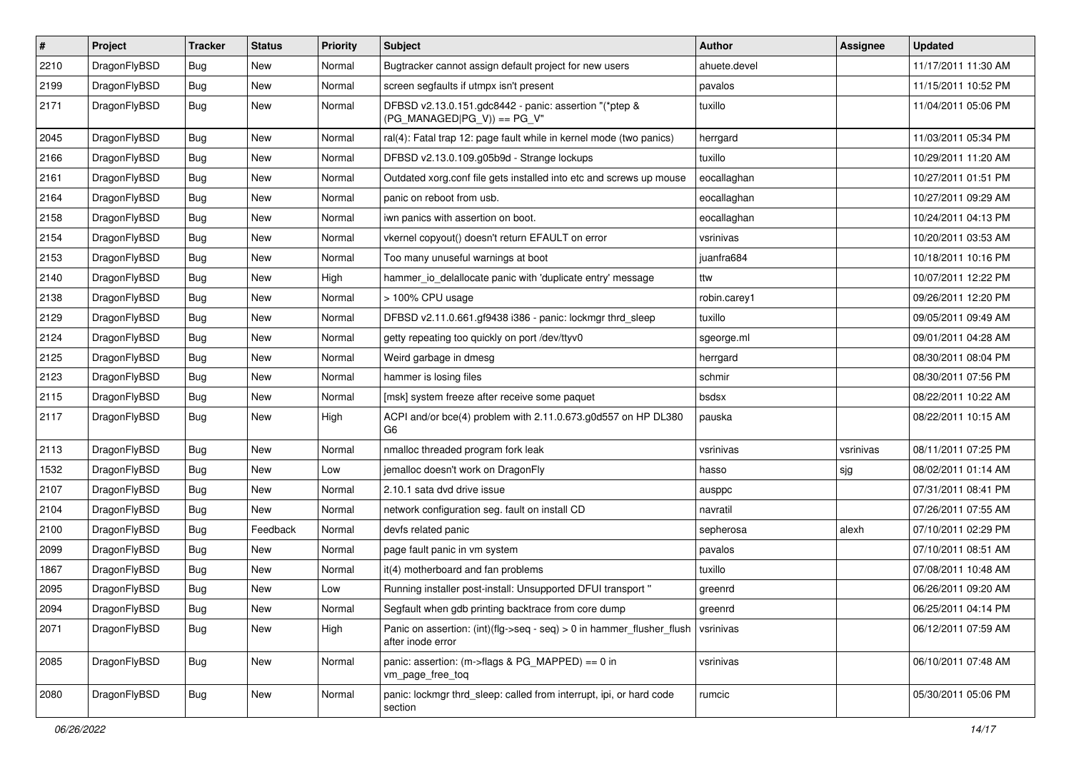| $\sharp$ | Project      | <b>Tracker</b> | <b>Status</b> | <b>Priority</b> | Subject                                                                                    | Author       | Assignee  | <b>Updated</b>      |
|----------|--------------|----------------|---------------|-----------------|--------------------------------------------------------------------------------------------|--------------|-----------|---------------------|
| 2210     | DragonFlyBSD | <b>Bug</b>     | New           | Normal          | Bugtracker cannot assign default project for new users                                     | ahuete.devel |           | 11/17/2011 11:30 AM |
| 2199     | DragonFlyBSD | Bug            | New           | Normal          | screen segfaults if utmpx isn't present                                                    | pavalos      |           | 11/15/2011 10:52 PM |
| 2171     | DragonFlyBSD | Bug            | New           | Normal          | DFBSD v2.13.0.151.gdc8442 - panic: assertion "(*ptep &<br>(PG MANAGED PG V)) == PG V"      | tuxillo      |           | 11/04/2011 05:06 PM |
| 2045     | DragonFlyBSD | Bug            | <b>New</b>    | Normal          | ral(4): Fatal trap 12: page fault while in kernel mode (two panics)                        | herrgard     |           | 11/03/2011 05:34 PM |
| 2166     | DragonFlyBSD | Bug            | New           | Normal          | DFBSD v2.13.0.109.g05b9d - Strange lockups                                                 | tuxillo      |           | 10/29/2011 11:20 AM |
| 2161     | DragonFlyBSD | Bug            | New           | Normal          | Outdated xorg.conf file gets installed into etc and screws up mouse                        | eocallaghan  |           | 10/27/2011 01:51 PM |
| 2164     | DragonFlyBSD | Bug            | <b>New</b>    | Normal          | panic on reboot from usb.                                                                  | eocallaghan  |           | 10/27/2011 09:29 AM |
| 2158     | DragonFlyBSD | Bug            | New           | Normal          | iwn panics with assertion on boot.                                                         | eocallaghan  |           | 10/24/2011 04:13 PM |
| 2154     | DragonFlyBSD | Bug            | <b>New</b>    | Normal          | vkernel copyout() doesn't return EFAULT on error                                           | vsrinivas    |           | 10/20/2011 03:53 AM |
| 2153     | DragonFlyBSD | Bug            | New           | Normal          | Too many unuseful warnings at boot                                                         | juanfra684   |           | 10/18/2011 10:16 PM |
| 2140     | DragonFlyBSD | Bug            | New           | High            | hammer io delallocate panic with 'duplicate entry' message                                 | ttw          |           | 10/07/2011 12:22 PM |
| 2138     | DragonFlyBSD | Bug            | New           | Normal          | > 100% CPU usage                                                                           | robin.carey1 |           | 09/26/2011 12:20 PM |
| 2129     | DragonFlyBSD | Bug            | <b>New</b>    | Normal          | DFBSD v2.11.0.661.gf9438 i386 - panic: lockmgr thrd_sleep                                  | tuxillo      |           | 09/05/2011 09:49 AM |
| 2124     | DragonFlyBSD | Bug            | New           | Normal          | getty repeating too quickly on port /dev/ttyv0                                             | sgeorge.ml   |           | 09/01/2011 04:28 AM |
| 2125     | DragonFlyBSD | Bug            | <b>New</b>    | Normal          | Weird garbage in dmesg                                                                     | herrgard     |           | 08/30/2011 08:04 PM |
| 2123     | DragonFlyBSD | Bug            | New           | Normal          | hammer is losing files                                                                     | schmir       |           | 08/30/2011 07:56 PM |
| 2115     | DragonFlyBSD | Bug            | New           | Normal          | [msk] system freeze after receive some paquet                                              | bsdsx        |           | 08/22/2011 10:22 AM |
| 2117     | DragonFlyBSD | <b>Bug</b>     | <b>New</b>    | High            | ACPI and/or bce(4) problem with 2.11.0.673.g0d557 on HP DL380<br>G <sub>6</sub>            | pauska       |           | 08/22/2011 10:15 AM |
| 2113     | DragonFlyBSD | <b>Bug</b>     | New           | Normal          | nmalloc threaded program fork leak                                                         | vsrinivas    | vsrinivas | 08/11/2011 07:25 PM |
| 1532     | DragonFlyBSD | <b>Bug</b>     | New           | Low             | jemalloc doesn't work on DragonFly                                                         | hasso        | sjg       | 08/02/2011 01:14 AM |
| 2107     | DragonFlyBSD | <b>Bug</b>     | New           | Normal          | 2.10.1 sata dvd drive issue                                                                | ausppc       |           | 07/31/2011 08:41 PM |
| 2104     | DragonFlyBSD | <b>Bug</b>     | New           | Normal          | network configuration seg. fault on install CD                                             | navratil     |           | 07/26/2011 07:55 AM |
| 2100     | DragonFlyBSD | <b>Bug</b>     | Feedback      | Normal          | devfs related panic                                                                        | sepherosa    | alexh     | 07/10/2011 02:29 PM |
| 2099     | DragonFlyBSD | <b>Bug</b>     | New           | Normal          | page fault panic in vm system                                                              | pavalos      |           | 07/10/2011 08:51 AM |
| 1867     | DragonFlyBSD | <b>Bug</b>     | <b>New</b>    | Normal          | it(4) motherboard and fan problems                                                         | tuxillo      |           | 07/08/2011 10:48 AM |
| 2095     | DragonFlyBSD | <b>Bug</b>     | New           | Low             | Running installer post-install: Unsupported DFUI transport "                               | greenrd      |           | 06/26/2011 09:20 AM |
| 2094     | DragonFlyBSD | <b>Bug</b>     | New           | Normal          | Segfault when gdb printing backtrace from core dump                                        | greenrd      |           | 06/25/2011 04:14 PM |
| 2071     | DragonFlyBSD | Bug            | New           | High            | Panic on assertion: (int)(flg->seq - seq) > 0 in hammer_flusher_flush<br>after inode error | vsrinivas    |           | 06/12/2011 07:59 AM |
| 2085     | DragonFlyBSD | <b>Bug</b>     | New           | Normal          | panic: assertion: (m->flags & PG_MAPPED) == 0 in<br>vm_page_free_toq                       | vsrinivas    |           | 06/10/2011 07:48 AM |
| 2080     | DragonFlyBSD | <b>Bug</b>     | New           | Normal          | panic: lockmgr thrd sleep: called from interrupt, ipi, or hard code<br>section             | rumcic       |           | 05/30/2011 05:06 PM |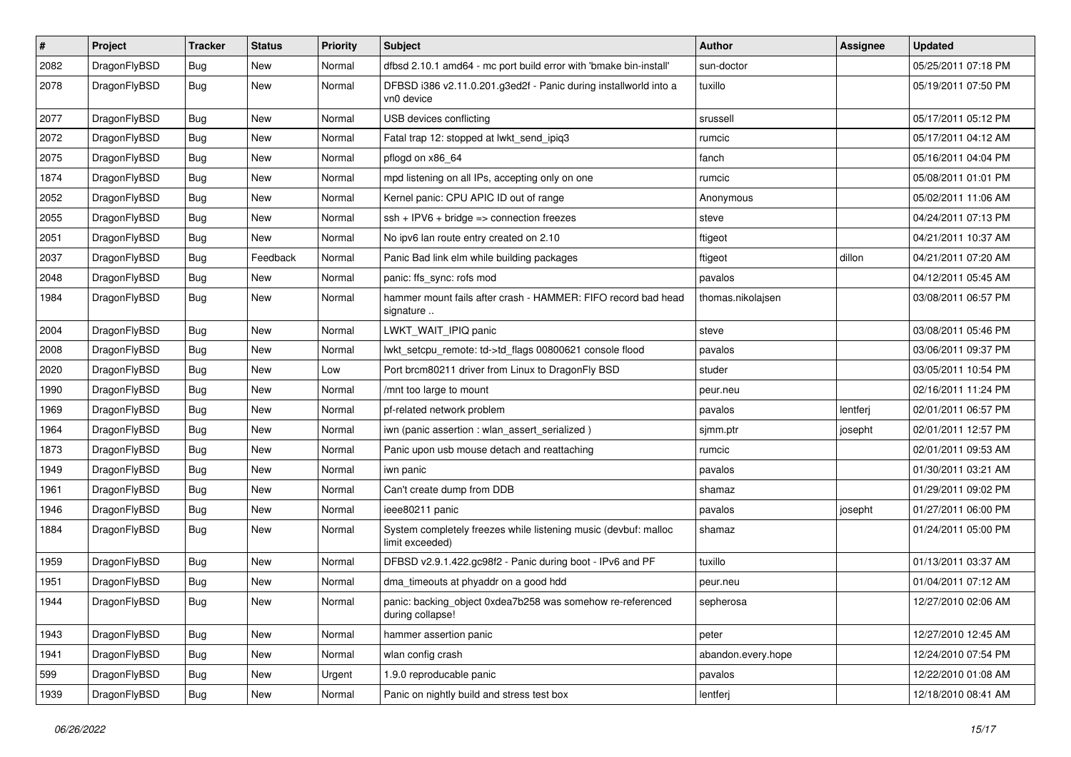| $\sharp$ | Project      | <b>Tracker</b> | <b>Status</b> | <b>Priority</b> | <b>Subject</b>                                                                     | <b>Author</b>      | Assignee | <b>Updated</b>      |
|----------|--------------|----------------|---------------|-----------------|------------------------------------------------------------------------------------|--------------------|----------|---------------------|
| 2082     | DragonFlyBSD | <b>Bug</b>     | <b>New</b>    | Normal          | dfbsd 2.10.1 amd64 - mc port build error with 'bmake bin-install'                  | sun-doctor         |          | 05/25/2011 07:18 PM |
| 2078     | DragonFlyBSD | Bug            | <b>New</b>    | Normal          | DFBSD i386 v2.11.0.201.g3ed2f - Panic during installworld into a<br>vn0 device     | tuxillo            |          | 05/19/2011 07:50 PM |
| 2077     | DragonFlyBSD | <b>Bug</b>     | <b>New</b>    | Normal          | USB devices conflicting                                                            | srussell           |          | 05/17/2011 05:12 PM |
| 2072     | DragonFlyBSD | <b>Bug</b>     | <b>New</b>    | Normal          | Fatal trap 12: stopped at lwkt_send_ipiq3                                          | rumcic             |          | 05/17/2011 04:12 AM |
| 2075     | DragonFlyBSD | <b>Bug</b>     | <b>New</b>    | Normal          | pflogd on x86 64                                                                   | fanch              |          | 05/16/2011 04:04 PM |
| 1874     | DragonFlyBSD | <b>Bug</b>     | <b>New</b>    | Normal          | mpd listening on all IPs, accepting only on one                                    | rumcic             |          | 05/08/2011 01:01 PM |
| 2052     | DragonFlyBSD | <b>Bug</b>     | New           | Normal          | Kernel panic: CPU APIC ID out of range                                             | Anonymous          |          | 05/02/2011 11:06 AM |
| 2055     | DragonFlyBSD | <b>Bug</b>     | New           | Normal          | ssh + IPV6 + bridge => connection freezes                                          | steve              |          | 04/24/2011 07:13 PM |
| 2051     | DragonFlyBSD | <b>Bug</b>     | <b>New</b>    | Normal          | No ipv6 lan route entry created on 2.10                                            | ftigeot            |          | 04/21/2011 10:37 AM |
| 2037     | DragonFlyBSD | <b>Bug</b>     | Feedback      | Normal          | Panic Bad link elm while building packages                                         | ftigeot            | dillon   | 04/21/2011 07:20 AM |
| 2048     | DragonFlyBSD | <b>Bug</b>     | New           | Normal          | panic: ffs_sync: rofs mod                                                          | pavalos            |          | 04/12/2011 05:45 AM |
| 1984     | DragonFlyBSD | <b>Bug</b>     | <b>New</b>    | Normal          | hammer mount fails after crash - HAMMER: FIFO record bad head<br>signature         | thomas.nikolajsen  |          | 03/08/2011 06:57 PM |
| 2004     | DragonFlyBSD | <b>Bug</b>     | New           | Normal          | LWKT_WAIT_IPIQ panic                                                               | steve              |          | 03/08/2011 05:46 PM |
| 2008     | DragonFlyBSD | <b>Bug</b>     | New           | Normal          | lwkt setcpu remote: td->td flags 00800621 console flood                            | pavalos            |          | 03/06/2011 09:37 PM |
| 2020     | DragonFlyBSD | <b>Bug</b>     | <b>New</b>    | Low             | Port brcm80211 driver from Linux to DragonFly BSD                                  | studer             |          | 03/05/2011 10:54 PM |
| 1990     | DragonFlyBSD | <b>Bug</b>     | <b>New</b>    | Normal          | /mnt too large to mount                                                            | peur.neu           |          | 02/16/2011 11:24 PM |
| 1969     | DragonFlyBSD | <b>Bug</b>     | New           | Normal          | pf-related network problem                                                         | pavalos            | lentferj | 02/01/2011 06:57 PM |
| 1964     | DragonFlyBSD | <b>Bug</b>     | <b>New</b>    | Normal          | iwn (panic assertion : wlan_assert_serialized)                                     | sjmm.ptr           | josepht  | 02/01/2011 12:57 PM |
| 1873     | DragonFlyBSD | <b>Bug</b>     | New           | Normal          | Panic upon usb mouse detach and reattaching                                        | rumcic             |          | 02/01/2011 09:53 AM |
| 1949     | DragonFlyBSD | <b>Bug</b>     | New           | Normal          | iwn panic                                                                          | pavalos            |          | 01/30/2011 03:21 AM |
| 1961     | DragonFlyBSD | <b>Bug</b>     | <b>New</b>    | Normal          | Can't create dump from DDB                                                         | shamaz             |          | 01/29/2011 09:02 PM |
| 1946     | DragonFlyBSD | <b>Bug</b>     | New           | Normal          | ieee80211 panic                                                                    | pavalos            | josepht  | 01/27/2011 06:00 PM |
| 1884     | DragonFlyBSD | Bug            | New           | Normal          | System completely freezes while listening music (devbuf: malloc<br>limit exceeded) | shamaz             |          | 01/24/2011 05:00 PM |
| 1959     | DragonFlyBSD | <b>Bug</b>     | <b>New</b>    | Normal          | DFBSD v2.9.1.422.gc98f2 - Panic during boot - IPv6 and PF                          | tuxillo            |          | 01/13/2011 03:37 AM |
| 1951     | DragonFlyBSD | <b>Bug</b>     | <b>New</b>    | Normal          | dma_timeouts at phyaddr on a good hdd                                              | peur.neu           |          | 01/04/2011 07:12 AM |
| 1944     | DragonFlyBSD | i Bug          | <b>New</b>    | Normal          | panic: backing_object 0xdea7b258 was somehow re-referenced<br>during collapse!     | sepherosa          |          | 12/27/2010 02:06 AM |
| 1943     | DragonFlyBSD | Bug            | New           | Normal          | hammer assertion panic                                                             | peter              |          | 12/27/2010 12:45 AM |
| 1941     | DragonFlyBSD | <b>Bug</b>     | New           | Normal          | wlan config crash                                                                  | abandon.every.hope |          | 12/24/2010 07:54 PM |
| 599      | DragonFlyBSD | <b>Bug</b>     | New           | Urgent          | 1.9.0 reproducable panic                                                           | pavalos            |          | 12/22/2010 01:08 AM |
| 1939     | DragonFlyBSD | <b>Bug</b>     | New           | Normal          | Panic on nightly build and stress test box                                         | lentferj           |          | 12/18/2010 08:41 AM |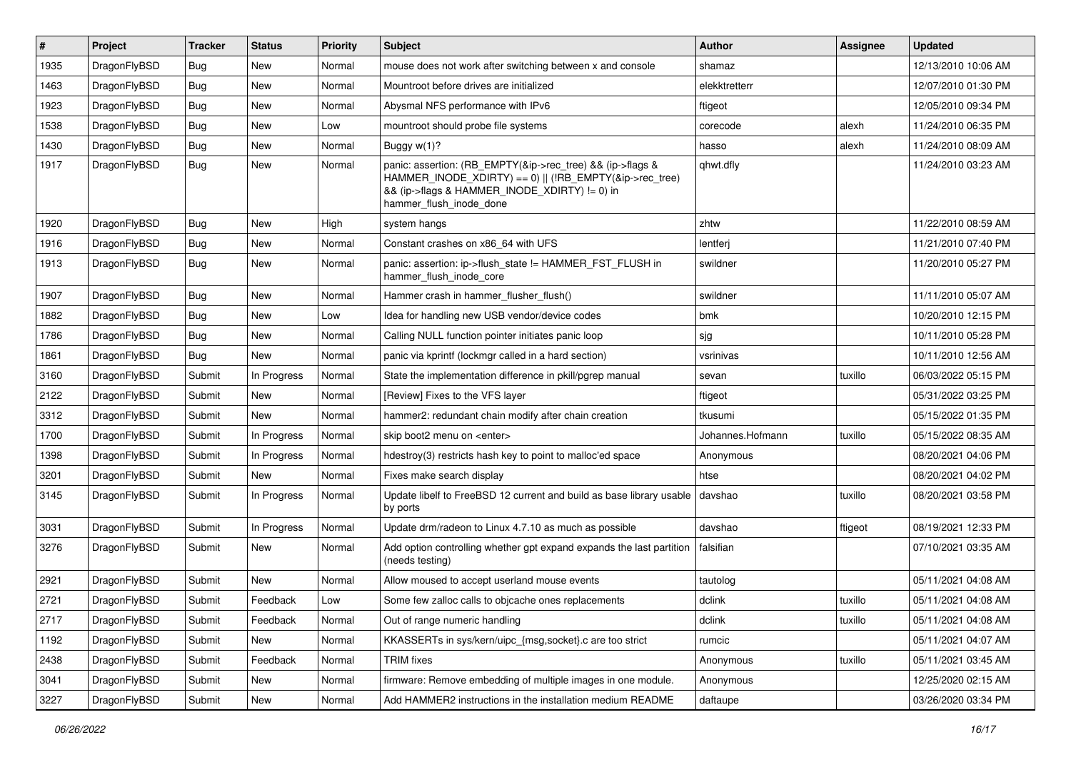| #    | Project      | <b>Tracker</b> | <b>Status</b> | <b>Priority</b> | <b>Subject</b>                                                                                                                                                                                    | Author           | Assignee | <b>Updated</b>      |
|------|--------------|----------------|---------------|-----------------|---------------------------------------------------------------------------------------------------------------------------------------------------------------------------------------------------|------------------|----------|---------------------|
| 1935 | DragonFlyBSD | <b>Bug</b>     | <b>New</b>    | Normal          | mouse does not work after switching between x and console                                                                                                                                         | shamaz           |          | 12/13/2010 10:06 AM |
| 1463 | DragonFlyBSD | <b>Bug</b>     | <b>New</b>    | Normal          | Mountroot before drives are initialized                                                                                                                                                           | elekktretterr    |          | 12/07/2010 01:30 PM |
| 1923 | DragonFlyBSD | <b>Bug</b>     | <b>New</b>    | Normal          | Abysmal NFS performance with IPv6                                                                                                                                                                 | ftigeot          |          | 12/05/2010 09:34 PM |
| 1538 | DragonFlyBSD | Bug            | <b>New</b>    | Low             | mountroot should probe file systems                                                                                                                                                               | corecode         | alexh    | 11/24/2010 06:35 PM |
| 1430 | DragonFlyBSD | <b>Bug</b>     | <b>New</b>    | Normal          | Buggy w(1)?                                                                                                                                                                                       | hasso            | alexh    | 11/24/2010 08:09 AM |
| 1917 | DragonFlyBSD | Bug            | New           | Normal          | panic: assertion: (RB_EMPTY(&ip->rec_tree) && (ip->flags &<br>HAMMER_INODE_XDIRTY) == 0)    (!RB_EMPTY(&ip->rec_tree)<br>&& (ip->flags & HAMMER_INODE_XDIRTY) != 0) in<br>hammer flush inode done | qhwt.dfly        |          | 11/24/2010 03:23 AM |
| 1920 | DragonFlyBSD | Bug            | <b>New</b>    | High            | system hangs                                                                                                                                                                                      | zhtw             |          | 11/22/2010 08:59 AM |
| 1916 | DragonFlyBSD | <b>Bug</b>     | <b>New</b>    | Normal          | Constant crashes on x86 64 with UFS                                                                                                                                                               | lentferj         |          | 11/21/2010 07:40 PM |
| 1913 | DragonFlyBSD | Bug            | <b>New</b>    | Normal          | panic: assertion: ip->flush_state != HAMMER_FST_FLUSH in<br>hammer flush inode core                                                                                                               | swildner         |          | 11/20/2010 05:27 PM |
| 1907 | DragonFlyBSD | <b>Bug</b>     | <b>New</b>    | Normal          | Hammer crash in hammer_flusher_flush()                                                                                                                                                            | swildner         |          | 11/11/2010 05:07 AM |
| 1882 | DragonFlyBSD | Bug            | <b>New</b>    | Low             | Idea for handling new USB vendor/device codes                                                                                                                                                     | bmk              |          | 10/20/2010 12:15 PM |
| 1786 | DragonFlyBSD | <b>Bug</b>     | <b>New</b>    | Normal          | Calling NULL function pointer initiates panic loop                                                                                                                                                | sjg              |          | 10/11/2010 05:28 PM |
| 1861 | DragonFlyBSD | Bug            | <b>New</b>    | Normal          | panic via kprintf (lockmgr called in a hard section)                                                                                                                                              | vsrinivas        |          | 10/11/2010 12:56 AM |
| 3160 | DragonFlyBSD | Submit         | In Progress   | Normal          | State the implementation difference in pkill/pgrep manual                                                                                                                                         | sevan            | tuxillo  | 06/03/2022 05:15 PM |
| 2122 | DragonFlyBSD | Submit         | <b>New</b>    | Normal          | [Review] Fixes to the VFS layer                                                                                                                                                                   | ftigeot          |          | 05/31/2022 03:25 PM |
| 3312 | DragonFlyBSD | Submit         | New           | Normal          | hammer2: redundant chain modify after chain creation                                                                                                                                              | tkusumi          |          | 05/15/2022 01:35 PM |
| 1700 | DragonFlyBSD | Submit         | In Progress   | Normal          | skip boot2 menu on <enter></enter>                                                                                                                                                                | Johannes.Hofmann | tuxillo  | 05/15/2022 08:35 AM |
| 1398 | DragonFlyBSD | Submit         | In Progress   | Normal          | hdestroy(3) restricts hash key to point to malloc'ed space                                                                                                                                        | Anonymous        |          | 08/20/2021 04:06 PM |
| 3201 | DragonFlyBSD | Submit         | <b>New</b>    | Normal          | Fixes make search display                                                                                                                                                                         | htse             |          | 08/20/2021 04:02 PM |
| 3145 | DragonFlyBSD | Submit         | In Progress   | Normal          | Update libelf to FreeBSD 12 current and build as base library usable<br>by ports                                                                                                                  | davshao          | tuxillo  | 08/20/2021 03:58 PM |
| 3031 | DragonFlyBSD | Submit         | In Progress   | Normal          | Update drm/radeon to Linux 4.7.10 as much as possible                                                                                                                                             | davshao          | ftigeot  | 08/19/2021 12:33 PM |
| 3276 | DragonFlyBSD | Submit         | New           | Normal          | Add option controlling whether gpt expand expands the last partition<br>(needs testing)                                                                                                           | falsifian        |          | 07/10/2021 03:35 AM |
| 2921 | DragonFlyBSD | Submit         | <b>New</b>    | Normal          | Allow moused to accept userland mouse events                                                                                                                                                      | tautolog         |          | 05/11/2021 04:08 AM |
| 2721 | DragonFlyBSD | Submit         | Feedback      | Low             | Some few zalloc calls to objcache ones replacements                                                                                                                                               | dclink           | tuxillo  | 05/11/2021 04:08 AM |
| 2717 | DragonFlyBSD | Submit         | Feedback      | Normal          | Out of range numeric handling                                                                                                                                                                     | dclink           | tuxillo  | 05/11/2021 04:08 AM |
| 1192 | DragonFlyBSD | Submit         | New           | Normal          | KKASSERTs in sys/kern/uipc {msg,socket}.c are too strict                                                                                                                                          | rumcic           |          | 05/11/2021 04:07 AM |
| 2438 | DragonFlyBSD | Submit         | Feedback      | Normal          | <b>TRIM</b> fixes                                                                                                                                                                                 | Anonymous        | tuxillo  | 05/11/2021 03:45 AM |
| 3041 | DragonFlyBSD | Submit         | New           | Normal          | firmware: Remove embedding of multiple images in one module.                                                                                                                                      | Anonymous        |          | 12/25/2020 02:15 AM |
| 3227 | DragonFlyBSD | Submit         | New           | Normal          | Add HAMMER2 instructions in the installation medium README                                                                                                                                        | daftaupe         |          | 03/26/2020 03:34 PM |